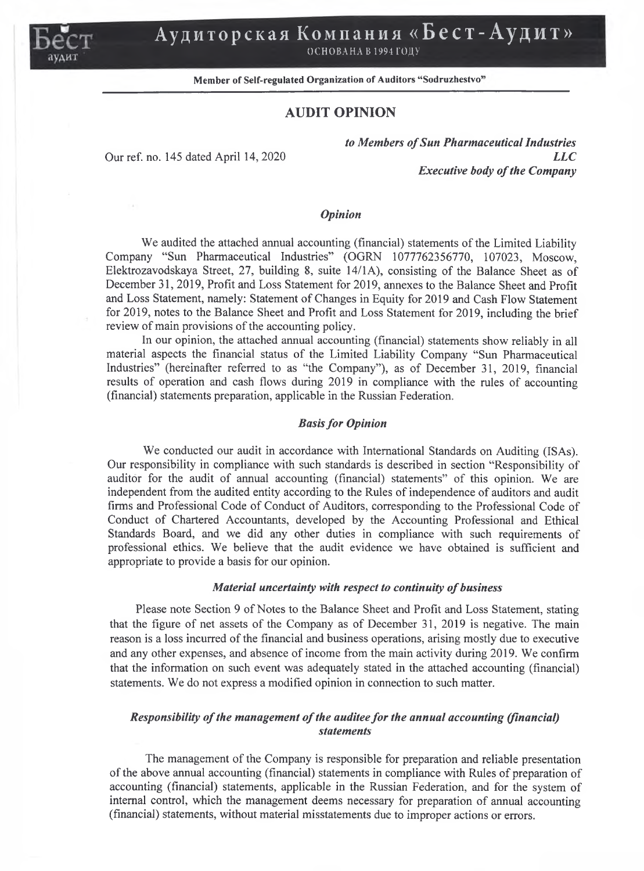

# **Аудиторская Компания «Бест-Аудит»**

ОСНОВАНА В 1994 ГОДУ

## Member of Self-regulated Organization of Auditors "Sodruzhestvo"

## **AUDIT OPINION**

*to Members of Sun Pharmaceutical Industries* Our ref. no. 145 dated April 14, 2020 *LLC Executive body of the Company*

### *Opinion*

We audited the attached annual accounting (financial) statements of the Limited Liability Company "Sun Pharmaceutical Industries" (OGRN 1077762356770, 107023, Moscow, Elektrozavodskaya Street, 27, building 8, suite 14/1A), consisting of the Balance Sheet as of December 31, 2019, Profit and Loss Statement for 2019, annexes to the Balance Sheet and Profit and Loss Statement, namely: Statement of Changes in Equity for 2019 and Cash Flow Statement for 2019, notes to the Balance Sheet and Profit and Loss Statement for 2019, including the brief review of main provisions of the accounting policy.

In our opinion, the attached annual accounting (financial) statements show reliably in all material aspects the financial status of the Limited Liability Company "Sun Pharmaceutical Industries" (hereinafter referred to as "the Company''), as of December 31, 2019, financial results of operation and cash flows during 2019 in compliance with the rules of accounting (financial) statements preparation, applicable in the Russian Federation.

#### *Basis for Opinion*

We conducted our audit in accordance with International Standards on Auditing (ISAs). Our responsibility in compliance with such standards is described in section "Responsibility of auditor for the audit of annual accounting (financial) statements" of this opinion. We are independent from the audited entity according to the Rules of independence of auditors and audit firms and Professional Code of Conduct of Auditors, corresponding to the Professional Code of Conduct of Chartered Accountants, developed by the Accounting Professional and Ethical Standards Board, and we did any other duties in compliance with such requirements of professional ethics. We believe that the audit evidence we have obtained is sufficient and appropriate to provide a basis for our opinion.

#### *Material uncertainty with respect to continuity of business*

Please note Section 9 of Notes to the Balance Sheet and Profit and Loss Statement, stating that the figure of net assets of the Company as of December 31, 2019 is negative. The main reason is a loss incurred of the financial and business operations, arising mostly due to executive and any other expenses, and absence of income from the main activity during 2019. We confirm that the information on such event was adequately stated in the attached accounting (financial) statements. We do not express a modified opinion in connection to such matter.

## *Responsibility of the management of the auditee for the annual accounting (financial) statements*

The management of the Company is responsible for preparation and reliable presentation of the above annual accounting (financial) statements in compliance with Rules of preparation of accounting (financial) statements, applicable in the Russian Federation, and for the system of internal control, which the management deems necessary for preparation of annual accounting (financial) statements, without material misstatements due to improper actions or errors.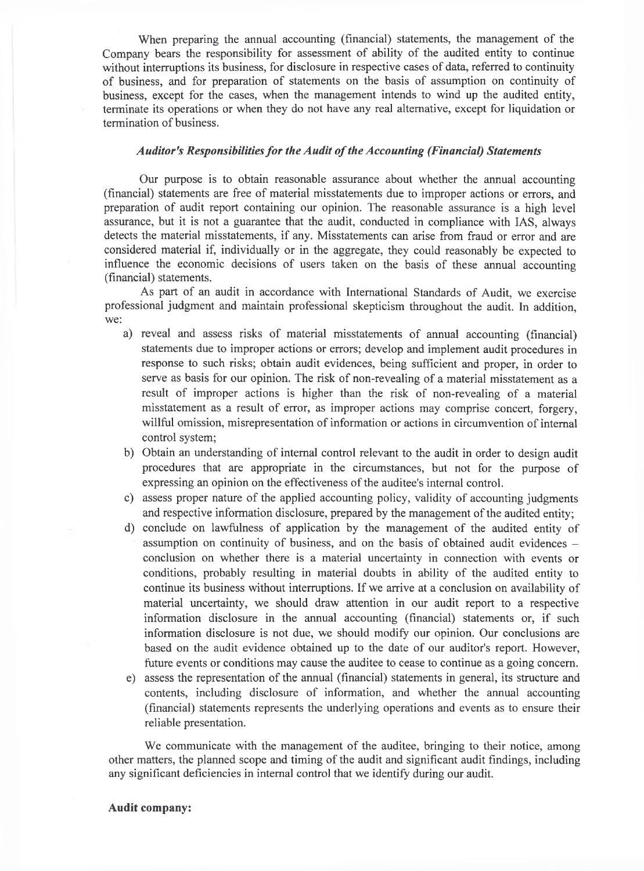When preparing the annual accounting (financial) statements, the management of the Company bears the responsibility for assessment of ability of the audited entity to continue without interruptions its business, for disclosure in respective cases of data, referred to continuity of business, and for preparation of statements on the basis of assumption on continuity of business, except for the cases, when the management intends to wind up the audited entity, terminate its operations or when they do not have any real alternative, except for liquidation or termination of business.

#### *Auditor's Responsibilities for the Audit of the Accounting (Financial) Statements*

Our purpose is to obtain reasonable assurance about whether the annual accounting (financial) statements are free of material misstatements due to improper actions or errors, and preparation of audit report containing our opinion. The reasonable assurance is a high level assurance, but it is not a guarantee that the audit, conducted in compliance with IAS, always detects the material misstatements, if any. Misstatements can arise from fraud or error and are considered material if, individually or in the aggregate, they could reasonably be expected to influence the economic decisions of users taken on the basis of these annual accounting (financial) statements.

As part of an audit in accordance with International Standards of Audit, we exercise professional judgment and maintain professional skepticism throughout the audit. In addition, we:

- a) reveal and assess risks of material misstatements of annual accounting (financial) statements due to improper actions or errors; develop and implement audit procedures in response to such risks; obtain audit evidences, being sufficient and proper, in order to serve as basis for our opinion. The risk of non-revealing of a material misstatement as a result of improper actions is higher than the risk of non-revealing of a material misstatement as a result of error, as improper actions may comprise concert, forgery, willful omission, misrepresentation of information or actions in circumvention of internal control system;
- b) Obtain an understanding of internal control relevant to the audit in order to design audit procedures that are appropriate in the circumstances, but not for the purpose of expressing an opinion on the effectiveness of the auditee's internal control.
- c) assess proper nature of the applied accounting policy, validity of accounting judgments and respective information disclosure, prepared by the management of the audited entity;
- d) conclude on lawfulness of application by the management of the audited entity of assumption on continuity of business, and on the basis of obtained audit evidences conclusion on whether there is a material uncertainty in connection with events or conditions, probably resulting in material doubts in ability of the audited entity to continue its business without interruptions. If we arrive at a conclusion on availability of material uncertainty, we should draw attention in our audit report to a respective information disclosure in the annual accounting (financial) statements or, if such information disclosure is not due, we should modify our opinion. Our conclusions are based on the audit evidence obtained up to the date of our auditor's report. However, future events or conditions may cause the auditee to cease to continue as a going concern.
- e) assess the representation of the annual (financial) statements in general, its structure and contents, including disclosure of information, and whether the annual accounting (financial) statements represents the underlying operations and events as to ensure their reliable presentation.

We communicate with the management of the auditee, bringing to their notice, among other matters, the planned scope and timing of the audit and significant audit findings, including any significant deficiencies in internal control that we identify during our audit.

#### **Audit company:**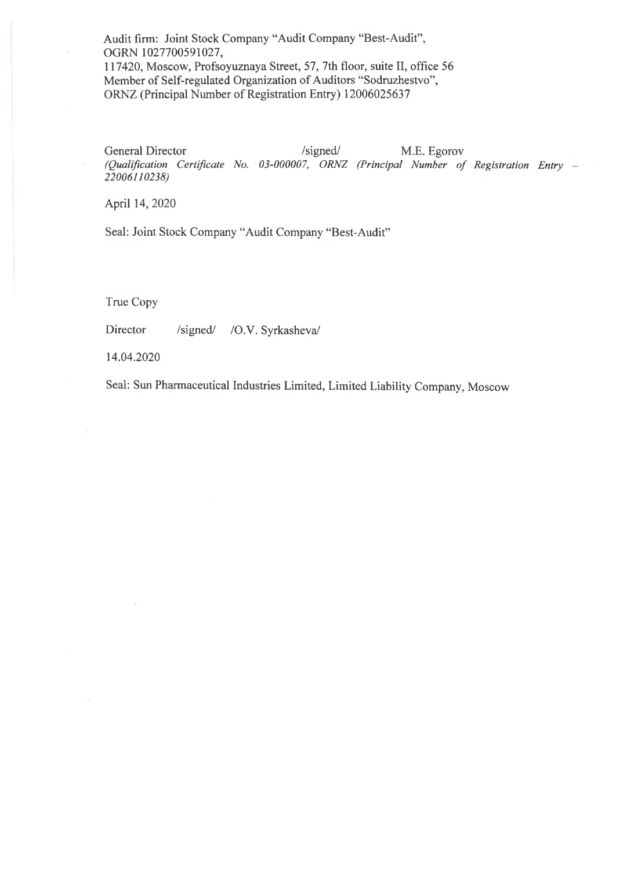Audit firm: Joint Stock Company "Audit Company "Best-Audit", OGRN 1027700591027, 117420, Moscow, Profsoyuznaya Street, 57, 7th floor, suite II, office 56 Member of Self-regulated Organization of Auditors "Sodruzhestvo", ORNZ (Principal Number of Registration Entry) 12006025637

General Director /signed/ M.E. Egorov *(Qualification Certificate No. 03-000007, ORNZ (Principal Number of Registration Entry 22006110238)*

April 14, 2020

Seal: Joint Stock Company "Audit Company "Best-Audit"

True Copy

Director /signed/ /O.V. Syrkasheva/

14.04.2020

Seal: Sun Pharmaceutical Industries Limited, Limited Liability Company, Moscow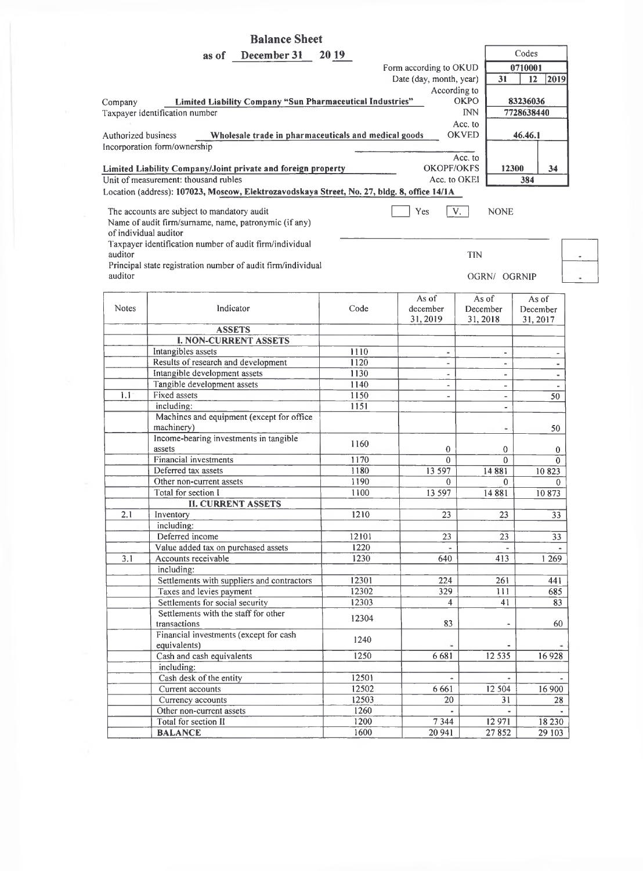|              | <b>Balance Sheet</b>                                                                        |                |                          |                          |                 |
|--------------|---------------------------------------------------------------------------------------------|----------------|--------------------------|--------------------------|-----------------|
|              | December 31<br>as of                                                                        | <b>2019</b>    |                          |                          | Codes           |
|              |                                                                                             |                | Form according to OKUD   |                          | 0710001         |
|              |                                                                                             |                | Date (day, month, year)  | 31                       | 2019<br>$12-12$ |
|              |                                                                                             |                | According to             |                          |                 |
| Company      | Limited Liability Company "Sun Pharmaceutical Industries"                                   |                |                          | <b>OKPO</b>              | 83236036        |
|              | Taxpayer identification number                                                              |                |                          | <b>INN</b>               | 7728638440      |
|              |                                                                                             |                |                          | Acc. to                  |                 |
|              | Authorized business<br>Wholesale trade in pharmaceuticals and medical goods                 |                |                          | <b>OKVED</b>             | 46.46.1         |
|              | Incorporation form/ownership                                                                |                |                          |                          |                 |
|              |                                                                                             |                |                          | Acc. to                  |                 |
|              | Limited Liability Company/Joint private and foreign property                                |                | <b>OKOPF/OKFS</b>        | 12300                    | 34              |
|              | Unit of measurement: thousand rubles                                                        |                | Acc. to OKEI             |                          | 384             |
|              | Location (address): 107023, Moscow, Elektrozavodskaya Street, No. 27, bldg. 8, office 14/1A |                |                          |                          |                 |
|              | The accounts are subject to mandatory audit                                                 |                | Yes                      | V.<br><b>NONE</b>        |                 |
|              | Name of audit firm/surname, name, patronymic (if any)                                       |                |                          |                          |                 |
|              | of individual auditor                                                                       |                |                          |                          |                 |
|              | Taxpayer identification number of audit firm/individual                                     |                |                          |                          |                 |
| auditor      |                                                                                             |                |                          | <b>TIN</b>               |                 |
|              | Principal state registration number of audit firm/individual                                |                |                          |                          |                 |
| auditor      |                                                                                             |                |                          | OGRN/ OGRNIP             |                 |
|              |                                                                                             |                |                          |                          |                 |
| <b>Notes</b> | Indicator                                                                                   | Code           | As of                    | As of                    | As of           |
|              |                                                                                             |                | december<br>31, 2019     | December                 | December        |
|              | <b>ASSETS</b>                                                                               |                |                          | 31, 2018                 | 31, 2017        |
|              | <b>I. NON-CURRENT ASSETS</b>                                                                |                |                          |                          |                 |
|              | Intangibles assets                                                                          | 1110           | $\blacksquare$           | $\blacksquare$           |                 |
|              | Results of research and development                                                         | 1120           | $\overline{\phantom{a}}$ | $\blacksquare$           | ٠               |
|              | Intangible development assets                                                               | 1130           |                          | $\blacksquare$           | ٠               |
|              | Tangible development assets                                                                 | 1140           | $\overline{\phantom{a}}$ | $\overline{\phantom{a}}$ |                 |
| 1.1          | Fixed assets                                                                                | 1150           | $\blacksquare$           | $\overline{\phantom{a}}$ | 50              |
|              | including:                                                                                  | 1151           |                          | $\frac{1}{2}$            |                 |
|              | Machines and equipment (except for office                                                   |                |                          |                          |                 |
|              | machinery)                                                                                  |                |                          | ÷                        | 50              |
|              | Income-bearing investments in tangible                                                      | 1160           |                          |                          |                 |
|              | assets                                                                                      |                | 0                        | 0                        | $\bf{0}$        |
|              | <b>Financial investments</b>                                                                | 1170           | $\mathbf{0}$             | $\mathbf{0}$             | $\Omega$        |
|              | Deferred tax assets                                                                         | 1180           | 13 597                   | 14881                    | 10823           |
|              | Other non-current assets                                                                    | 1190           | $\bf{0}$                 | $\bf{0}$                 | $\theta$        |
|              | Total for section I<br><b>II. CURRENT ASSETS</b>                                            | 1100           | 13 597                   | 14 881                   | 10873           |
| 2.1          | Inventory                                                                                   | 1210           | 23                       | 23                       | 33              |
|              | including:                                                                                  |                |                          |                          |                 |
|              | Deferred income                                                                             | 12101          | 23                       | 23                       | 33              |
|              | Value added tax on purchased assets                                                         | 1220           |                          |                          |                 |
| 3.1          | Accounts receivable                                                                         | 1230           | 640                      | 413                      | 1 2 6 9         |
|              | including:                                                                                  |                |                          |                          |                 |
|              | Settlements with suppliers and contractors                                                  | 12301          | 224                      | 261                      | 441             |
|              | Taxes and levies payment                                                                    | 12302          | 329                      | 111                      | 685             |
|              | Settlements for social security                                                             | 12303          | 4                        | 41                       | 83              |
|              | Settlements with the staff for other                                                        | 12304          |                          |                          |                 |
|              | transactions                                                                                |                | 83                       |                          | 60              |
|              | Financial investments (except for cash                                                      | 1240           |                          |                          |                 |
|              | equivalents)                                                                                |                |                          |                          |                 |
|              | Cash and cash equivalents                                                                   | 1250           | 6681                     | 12 5 35                  | 16928           |
|              | including:                                                                                  |                |                          |                          |                 |
|              | Cash desk of the entity                                                                     | 12501          | $\sim$                   | $\sim$                   |                 |
|              | Current accounts                                                                            | 12502<br>12503 | 6 6 6 1                  | 12 504                   | 16 900          |
|              | Currency accounts<br>Other non-current assets                                               | 1260           | 20                       | 31                       | 28              |
|              | Total for section II                                                                        | 1200           | 7 3 4 4                  | 12971                    | 18 2 30         |
|              | <b>BALANCE</b>                                                                              | 1600           | 20 941                   | 27852                    | 29 10 3         |
|              |                                                                                             |                |                          |                          |                 |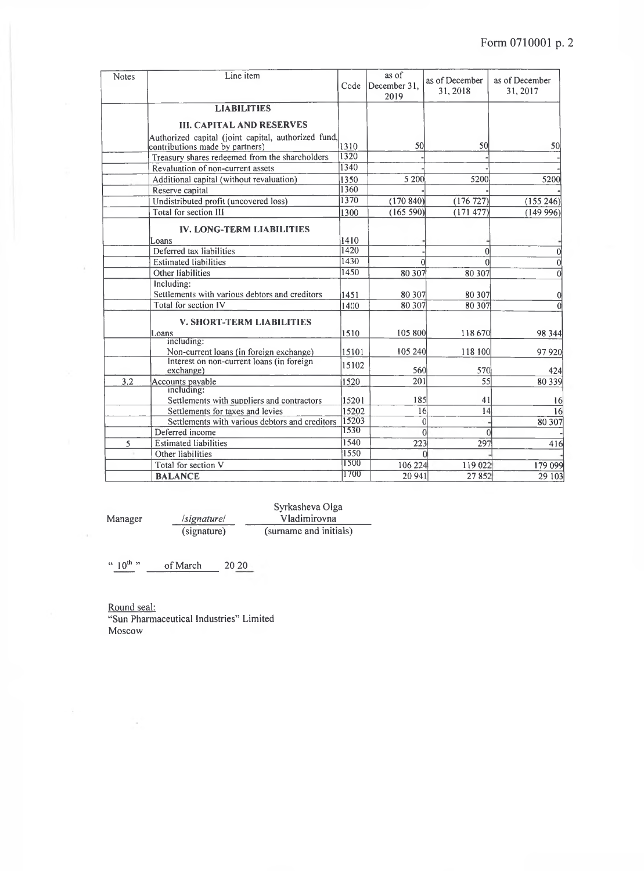| <b>Notes</b> | Line item                                                                              | Code  | as of<br>December 31,<br>2019 | as of December<br>31, 2018 | as of December<br>31, 2017 |
|--------------|----------------------------------------------------------------------------------------|-------|-------------------------------|----------------------------|----------------------------|
|              | <b>LIABILITIES</b>                                                                     |       |                               |                            |                            |
|              | <b>III. CAPITAL AND RESERVES</b>                                                       |       |                               |                            |                            |
|              | Authorized capital (joint capital, authorized fund,<br>contributions made by partners) | 1310  | 50                            | 50                         | 50                         |
|              | Treasury shares redeemed from the shareholders                                         | 1320  |                               |                            |                            |
|              | Revaluation of non-current assets                                                      | 1340  |                               |                            |                            |
|              | Additional capital (without revaluation)                                               | 1350  | 5 200                         | 5200                       | 5200                       |
|              | Reserve capital                                                                        | 1360  |                               |                            |                            |
|              | Undistributed profit (uncovered loss)                                                  | 1370  | (170840)                      | (176727)                   | (155246)                   |
|              | Total for section III                                                                  | 1300  | (165 590)                     | (171477)                   | (149996)                   |
|              | <b>IV. LONG-TERM LIABILITIES</b><br>Loans                                              | 1410  |                               |                            |                            |
|              | Deferred tax liabilities                                                               | 1420  |                               | $\theta$                   |                            |
|              | <b>Estimated liabilities</b>                                                           | 1430  |                               | $\Omega$                   | $\Omega$                   |
|              | Other liabilities                                                                      | 1450  | 80 307                        | 80 30 7                    | $\Omega$                   |
|              | Including:                                                                             |       |                               |                            |                            |
|              | Settlements with various debtors and creditors                                         | 1451  | 80 307                        | 80 30 7                    | 0                          |
|              | Total for section IV                                                                   | 1400  | 80 307                        | 80 30 7                    |                            |
|              | <b>V. SHORT-TERM LIABILITIES</b>                                                       |       |                               |                            |                            |
|              | Loans                                                                                  | 1510  | 105 800                       | 118 670                    | 98 3 44                    |
|              | including:                                                                             |       |                               |                            |                            |
|              | Non-current loans (in foreign exchange)                                                | 15101 | 105 240                       | 118 100                    | 97920                      |
|              | Interest on non-current loans (in foreign<br>exchange)                                 | 15102 | 560                           | 570                        | 424                        |
| 3.2          | Accounts payable                                                                       | 1520  | 201                           | $\overline{55}$            | 80 339                     |
|              | including:                                                                             |       |                               |                            |                            |
|              | Settlements with suppliers and contractors                                             | 15201 | 185                           | 41                         | 16                         |
|              | Settlements for taxes and levies                                                       | 15202 | 16                            | 4                          | 16                         |
|              | Settlements with various debtors and creditors                                         | 15203 |                               | $\mathbf 0$                | 80 307                     |
|              | Deferred income                                                                        | 1530  |                               | $\theta$<br>$\Omega$       |                            |
| 5            | <b>Estimated liabilities</b>                                                           | 1540  | 223                           | 297                        | 416                        |
|              | Other liabilities                                                                      | 1550  |                               |                            |                            |
|              | Total for section V                                                                    | 1500  | 106 224                       | 119 022                    | 179 099                    |
|              | <b>BALANCE</b>                                                                         | 1700  | 20 941                        | 27852                      | 29 103                     |

Syrkasheva Olga Manager */signature/* \_\_\_\_\_\_\_ Vladimirovna (signature) (surname and initials)

 $\degree$  10<sup>th</sup> of March 20 20

 $\tilde{\lambda}$ 

Round seal: "Sun Pharmaceutical Industries" Limited Moscow

 $\sim$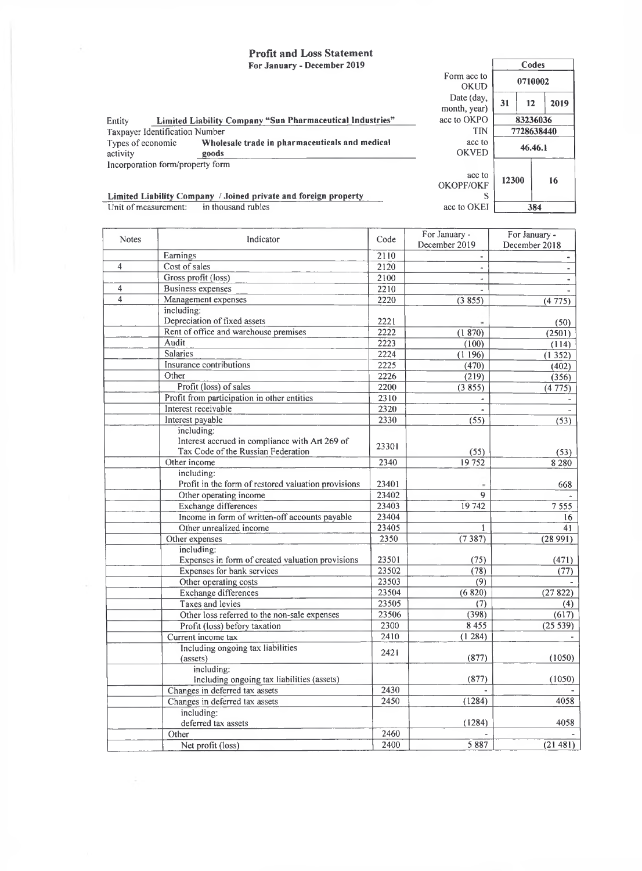# **Profit and Loss Statement**

 $\bar{\tau}$ 

|                                  | For January - December 2019                                     |                                 |       | Codes      |      |
|----------------------------------|-----------------------------------------------------------------|---------------------------------|-------|------------|------|
|                                  |                                                                 | Form acc to<br>OKUD             |       | 0710002    |      |
|                                  |                                                                 | Date (day,<br>month, year)      | 31    | 12         | 2019 |
| Entity                           | Limited Liability Company "Sun Pharmaceutical Industries"       | acc to OKPO                     |       | 83236036   |      |
| Taxpayer Identification Number   |                                                                 | <b>TIN</b>                      |       | 7728638440 |      |
| Types of economic<br>activity    | Wholesale trade in pharmaceuticals and medical<br>goods         | acc to<br><b>OKVED</b>          |       | 46.46.1    |      |
| Incorporation form/property form |                                                                 |                                 |       |            |      |
|                                  | Limited Liability Company / Joined private and foreign property | acc to<br><b>OKOPF/OKF</b><br>S | 12300 |            | 16   |
| Unit of measurement:             | in thousand rubles                                              | acc to OKEI                     |       | 384        |      |
|                                  |                                                                 |                                 |       |            |      |

 $\sqrt{ }$ 

| <b>Notes</b>   | Indicator                                           | Code  | For January -         | For January -  |
|----------------|-----------------------------------------------------|-------|-----------------------|----------------|
|                |                                                     |       | December 2019         | December 2018  |
|                | Earnings                                            | 2110  |                       |                |
| $\overline{4}$ | Cost of sales                                       | 2120  | $\tilde{\phantom{a}}$ | $\blacksquare$ |
|                | Gross profit (loss)                                 | 2100  |                       |                |
| 4              | <b>Business expenses</b>                            | 2210  |                       |                |
| $\overline{4}$ | Management expenses                                 | 2220  | (3855)                | (4775)         |
|                | including:                                          |       |                       |                |
|                | Depreciation of fixed assets                        | 2221  |                       | (50)           |
|                | Rent of office and warehouse premises               | 2222  | (1870)                | (2501)         |
|                | Audit                                               | 2223  | (100)                 | (114)          |
|                | <b>Salaries</b>                                     | 2224  | (1196)                | (1352)         |
|                | Insurance contributions                             | 2225  | (470)                 | (402)          |
|                | Other                                               | 2226  | (219)                 | (356)          |
|                | Profit (loss) of sales                              | 2200  | (3855)                | (4775)         |
|                | Profit from participation in other entities         | 2310  |                       |                |
|                | Interest receivable                                 | 2320  |                       |                |
|                | Interest payable                                    | 2330  | (55)                  | (53)           |
|                | including:                                          |       |                       |                |
|                | Interest accrued in compliance with Art 269 of      |       |                       |                |
|                | Tax Code of the Russian Federation                  | 23301 | (55)                  | (53)           |
|                | Other income                                        | 2340  | 19752                 | 8 2 8 0        |
|                | including:                                          |       |                       |                |
|                | Profit in the form of restored valuation provisions | 23401 |                       | 668            |
|                | Other operating income                              | 23402 | $\mathbf Q$           |                |
|                | <b>Exchange differences</b>                         | 23403 | 19742                 | 7555           |
|                | Income in form of written-off accounts payable      | 23404 |                       | 16             |
|                | Other unrealized income                             | 23405 | 1                     | 41             |
|                | Other expenses                                      | 2350  | (7387)                | (28991)        |
|                | including:                                          |       |                       |                |
|                | Expenses in form of created valuation provisions    | 23501 | (75)                  | (471)          |
|                | Expenses for bank services                          | 23502 | (78)                  | (77)           |
|                | Other operating costs                               | 23503 | $\overline{(9)}$      |                |
|                | <b>Exchange differences</b>                         | 23504 | (6820)                | (27822)        |
|                | Taxes and levies                                    | 23505 | (7)                   | (4)            |
|                | Other loss referred to the non-sale expenses        | 23506 | (398)                 | (617)          |
|                | Profit (loss) befory taxation                       | 2300  | 8455                  | (25539)        |
|                | Current income tax                                  | 2410  | (1284)                |                |
|                | Including ongoing tax liabilities                   |       |                       |                |
|                | (assets)                                            | 2421  | (877)                 | (1050)         |
|                | including:                                          |       |                       |                |
|                | Including ongoing tax liabilities (assets)          |       | (877)                 | (1050)         |
|                | Changes in deferred tax assets                      | 2430  |                       |                |
|                | Changes in deferred tax assets                      | 2450  | (1284)                | 4058           |
|                | including:                                          |       |                       |                |
|                | deferred tax assets                                 |       | (1284)                | 4058           |
|                | Other                                               | 2460  |                       |                |
|                | Net profit (loss)                                   | 2400  | 5 8 8 7               | (21481)        |
|                |                                                     |       |                       |                |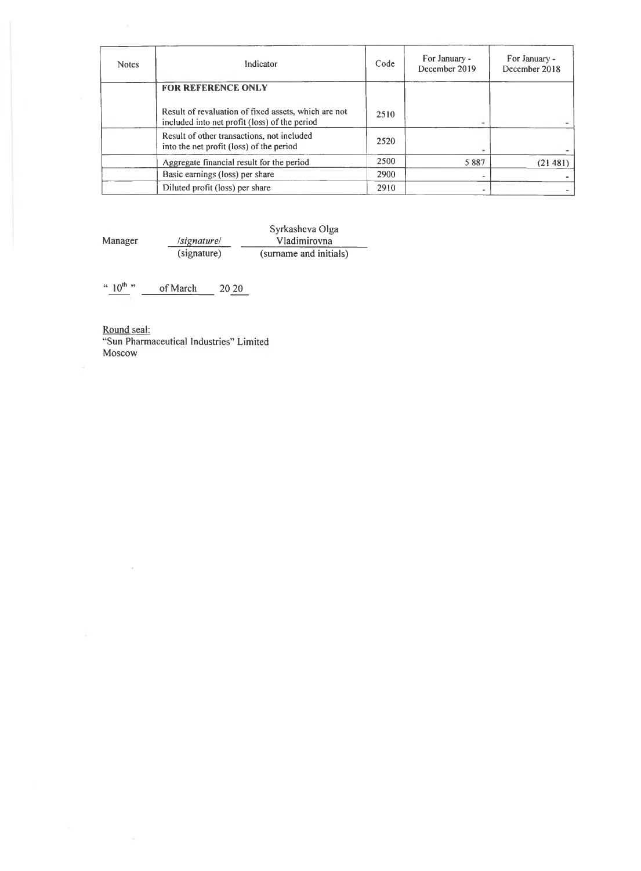| <b>Notes</b> | Indicator                                                                                             | Code | For January -<br>December 2019 | For January -<br>December 2018 |
|--------------|-------------------------------------------------------------------------------------------------------|------|--------------------------------|--------------------------------|
|              | <b>FOR REFERENCE ONLY</b>                                                                             |      |                                |                                |
|              | Result of revaluation of fixed assets, which are not<br>included into net profit (loss) of the period | 2510 | ۰                              |                                |
|              | Result of other transactions, not included<br>into the net profit (loss) of the period                | 2520 |                                |                                |
|              | Aggregate financial result for the period                                                             | 2500 | 5887                           | (21481                         |
|              | Basic earnings (loss) per share                                                                       | 2900 | $\qquad \qquad \blacksquare$   |                                |
|              | Diluted profit (loss) per share                                                                       | 2910 |                                |                                |

Syrkasheva Olga Manager */signature/* \_\_\_\_\_\_\_ Vladimirovna (signature) (surname and initials)

"  $10^{th}$ " of March 20 20

Round seal: "Sun Pharmaceutical Industries" Limited Moscow

Ň

 $\sim$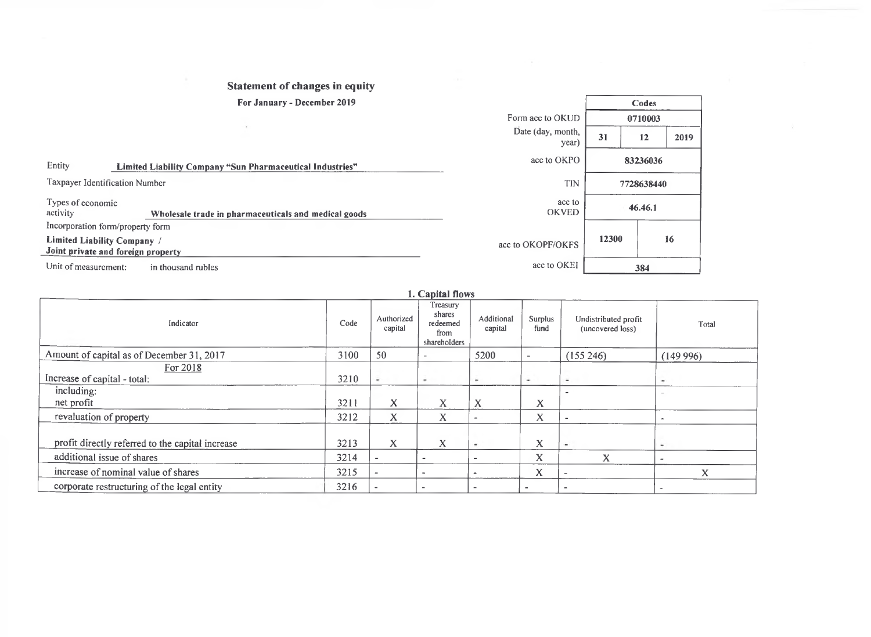# **Statement of changes in equity**

#### **For January - December 2019**

|                               | For January - December 2019                                       |                            |       | Codes      |      |
|-------------------------------|-------------------------------------------------------------------|----------------------------|-------|------------|------|
|                               |                                                                   | Form acc to OKUD           |       | 0710003    |      |
|                               |                                                                   | Date (day, month,<br>year) | 31    | 12         | 2019 |
| Entity                        | Limited Liability Company "Sun Pharmaceutical Industries"         | acc to OKPO                |       | 83236036   |      |
|                               | Taxpayer Identification Number                                    | TIN                        |       | 7728638440 |      |
| Types of economic<br>activity | Wholesale trade in pharmaceuticals and medical goods              | acc to<br><b>OKVED</b>     |       | 46.46.1    |      |
|                               | Incorporation form/property form                                  |                            |       |            |      |
|                               | Limited Liability Company /<br>Joint private and foreign property | acc to OKOPF/OKFS          | 12300 |            | 16   |
| Unit of measurement:          | in thousand rubles                                                | acc to OKEI                |       | 384        |      |

## *l .* **Capital flows**

| Indicator                                        | Code | Authorized<br>capital    | Treasury<br>shares<br>redeemed<br>from<br>shareholders | Additional<br>capital    | Surplus<br>fund | Undistributed profit<br>(uncovered loss) | Total                    |
|--------------------------------------------------|------|--------------------------|--------------------------------------------------------|--------------------------|-----------------|------------------------------------------|--------------------------|
| Amount of capital as of December 31, 2017        | 3100 | 50                       | $\overline{\phantom{a}}$                               | 5200                     |                 | (155 246)                                | (149996)                 |
| For 2018                                         |      |                          |                                                        |                          |                 |                                          |                          |
| Increase of capital - total:                     | 3210 | $\sim$                   | $\sim$                                                 | ۰                        | ۰               | $\overline{\phantom{a}}$                 | ۰                        |
| including:                                       |      |                          |                                                        |                          |                 |                                          |                          |
| net profit                                       | 3211 | X                        | x                                                      | X                        | X               |                                          |                          |
| revaluation of property                          | 3212 | X                        | X                                                      |                          | X               |                                          |                          |
|                                                  |      |                          |                                                        |                          |                 |                                          |                          |
| profit directly referred to the capital increase | 3213 | $\bf{X}$                 | X                                                      | $\overline{\phantom{a}}$ | X               | $\,$                                     | $\sim$                   |
| additional issue of shares                       | 3214 | ٠                        | $\overline{\phantom{a}}$                               | $\overline{\phantom{a}}$ | X               | X                                        | $\overline{\phantom{a}}$ |
| increase of nominal value of shares              | 3215 | $\overline{a}$           | $\overline{\phantom{a}}$                               | $\blacksquare$           | X               |                                          | x                        |
| corporate restructuring of the legal entity      | 3216 | $\overline{\phantom{a}}$ | $\,$                                                   | $\sim$                   |                 |                                          |                          |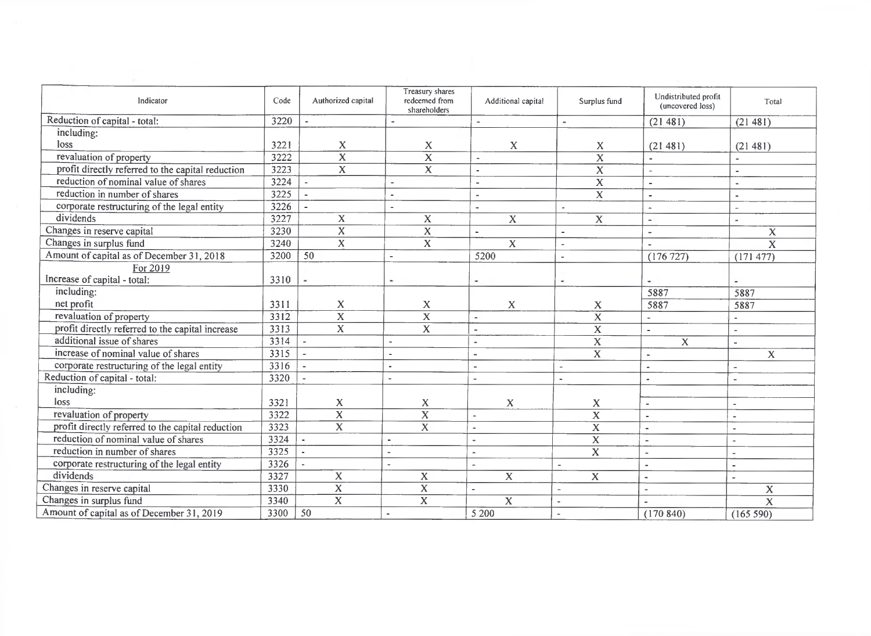| Indicator                                         | Code | Authorized capital       | Treasury shares<br>redeemed from<br>shareholders | Additional capital       | Surplus fund             | Undistributed profit<br>(uncovered loss) | Total                    |
|---------------------------------------------------|------|--------------------------|--------------------------------------------------|--------------------------|--------------------------|------------------------------------------|--------------------------|
| Reduction of capital - total:                     | 3220 |                          |                                                  | $\overline{\phantom{a}}$ |                          | (21481)                                  | (21481)                  |
| including:                                        |      |                          |                                                  |                          |                          |                                          |                          |
| loss                                              | 3221 | X                        | X                                                | X                        | X                        | (21481)                                  | (21481)                  |
| revaluation of property                           | 3222 | $\overline{\mathbf{x}}$  | $\overline{\mathbf{x}}$                          | $\overline{a}$           | $\overline{\mathbf{x}}$  |                                          |                          |
| profit directly referred to the capital reduction | 3223 | $\overline{X}$           | $\mathbf{X}$                                     | $\blacksquare$           | $\overline{\mathbf{X}}$  | $\blacksquare$                           | $\bullet$                |
| reduction of nominal value of shares              | 3224 |                          | $\sim$                                           | $\overline{\phantom{a}}$ | $\overline{\mathbf{X}}$  | $\mathbf{r}$                             |                          |
| reduction in number of shares                     | 3225 |                          | $\sim$                                           | $\blacksquare$           | $\overline{\mathbf{X}}$  | $\sim$                                   | $\overline{a}$           |
| corporate restructuring of the legal entity       | 3226 |                          | $\sim$                                           | $\blacksquare$           | $\sim$                   | $\ddot{\phantom{1}}$                     | $\overline{a}$           |
| dividends                                         | 3227 | $\mathbf X$              | $\mathbf X$                                      | $\mathbf X$              | $\overline{\mathbf{X}}$  | $\overline{\phantom{a}}$                 | $\sim$                   |
| Changes in reserve capital                        | 3230 | $\overline{X}$           | $\overline{\mathbf{X}}$                          | $\tilde{\phantom{a}}$    | $\overline{\phantom{a}}$ | $\tilde{\phantom{a}}$                    | $\mathbf X$              |
| Changes in surplus fund                           | 3240 | $\overline{\mathbf{x}}$  | $\mathbf X$                                      | $\mathbf{X}$             | $\sim$                   | $\overline{a}$                           | $\overline{\mathbf{x}}$  |
| Amount of capital as of December 31, 2018         | 3200 | 50                       |                                                  | 5200                     | $\sim$                   | (176 727)                                | (171 477)                |
| For 2019                                          |      |                          |                                                  |                          |                          |                                          |                          |
| Increase of capital - total:                      | 3310 |                          |                                                  | ۰                        | ۰                        | $\overline{\phantom{a}}$                 | $\overline{\phantom{a}}$ |
| including:                                        |      |                          |                                                  |                          |                          | 5887                                     | 5887                     |
| net profit                                        | 3311 | X                        | X                                                | $\mathbf X$              | $\mathbf X$              | 5887                                     | 5887                     |
| revaluation of property                           | 3312 | $\mathbf X$              | $\overline{\mathbf{x}}$                          | $\overline{a}$           | $\boldsymbol{X}$         | $\overline{a}$                           | $\blacksquare$           |
| profit directly referred to the capital increase  | 3313 | $\overline{\mathbf{x}}$  | $\mathbf X$                                      | $\overline{a}$           | $\overline{\mathbf{X}}$  | $\overline{\phantom{a}}$                 |                          |
| additional issue of shares                        | 3314 |                          |                                                  | $\blacksquare$           | $\overline{\mathbf{x}}$  | $\overline{X}$                           | $\blacksquare$           |
| increase of nominal value of shares               | 3315 |                          |                                                  | $\overline{a}$           | $\overline{\mathbf{x}}$  | $\sim$                                   | $\mathbf X$              |
| corporate restructuring of the legal entity       | 3316 |                          | $\blacksquare$                                   | $\overline{a}$           | $\overline{a}$           | $\tilde{\phantom{a}}$                    |                          |
| Reduction of capital - total:                     | 3320 |                          | $\blacksquare$                                   | $\overline{\phantom{a}}$ | $\sim$                   | $\overline{\phantom{a}}$                 |                          |
| including:                                        |      |                          |                                                  |                          |                          |                                          |                          |
| loss                                              | 3321 | $\mathbf X$              | $\mathbf X$                                      | X                        | $\boldsymbol{X}$         | $\blacksquare$                           |                          |
| revaluation of property                           | 3322 | $\overline{\mathbf{x}}$  | $\overline{\mathbf{x}}$                          | $\overline{\phantom{a}}$ | $\overline{\mathbf{x}}$  | $\sim$                                   |                          |
| profit directly referred to the capital reduction | 3323 | $\overline{\mathbf{x}}$  | $\overline{\mathbf{x}}$                          |                          | $\overline{\mathbf{x}}$  | $\tilde{\phantom{a}}$                    | $\sim$                   |
| reduction of nominal value of shares              | 3324 | $\sim$                   | $\overline{a}$                                   |                          | $\overline{\mathbf{X}}$  | $\blacksquare$                           |                          |
| reduction in number of shares                     | 3325 | $\overline{\phantom{a}}$ |                                                  | $\blacksquare$           | $\overline{\mathbf{x}}$  | $\sim$                                   |                          |
| corporate restructuring of the legal entity       | 3326 | $\blacksquare$           |                                                  | $\overline{a}$           | $\sim$                   | $\sim$                                   | $\sim$                   |
| dividends                                         | 3327 | $\mathbf{X}$             | $\mathbf X$                                      | $\overline{\mathbf{x}}$  | $\mathbf X$              | $\tilde{\phantom{a}}$                    |                          |
| Changes in reserve capital                        | 3330 | $\overline{\mathbf{X}}$  | $\overline{\mathbf{X}}$                          |                          | $\overline{a}$           | $\sim$                                   | $\mathbf X$              |
| Changes in surplus fund                           | 3340 | $\overline{\mathbf{x}}$  | $\overline{\mathbf{x}}$                          | $\mathbf x$              |                          |                                          | $\overline{\mathbf{x}}$  |
| Amount of capital as of December 31, 2019         | 3300 | 50                       |                                                  | 5 200                    |                          | (170840)                                 | (165 590)                |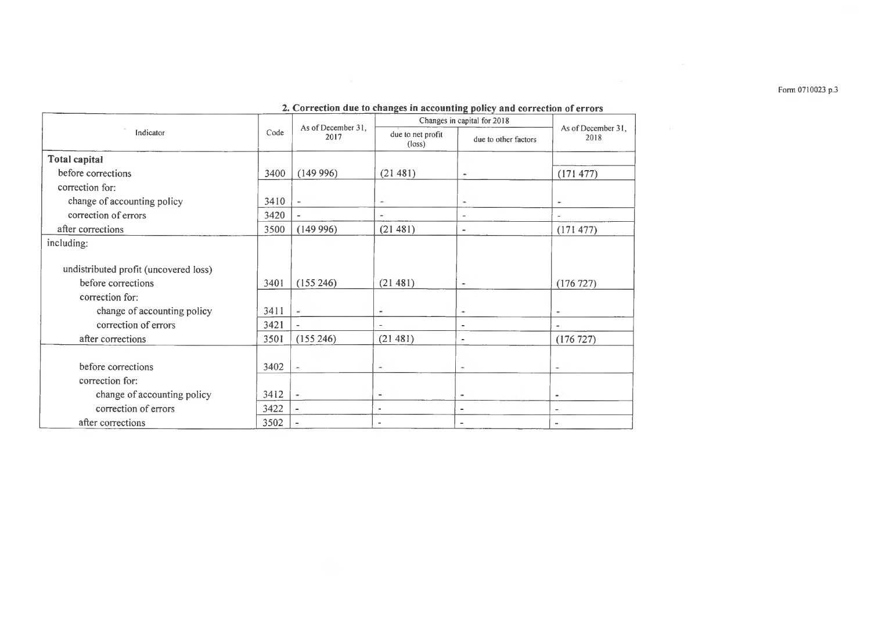**Form 0710023 р.З**

|                                       | 2. Correction que to changes in accounting policy and correction of errors |                          |                                      |                            |                          |
|---------------------------------------|----------------------------------------------------------------------------|--------------------------|--------------------------------------|----------------------------|--------------------------|
|                                       |                                                                            | As of December 31.       | Changes in capital for 2018          | As of December 31,<br>2018 |                          |
| Indicator                             | Code<br>2017                                                               |                          | due to net profit<br>$(\text{loss})$ |                            |                          |
| <b>Total capital</b>                  |                                                                            |                          |                                      |                            |                          |
| before corrections                    | 3400                                                                       | (149996)                 | (21481)                              | $\overline{\phantom{a}}$   | (171 477)                |
| correction for:                       |                                                                            |                          |                                      |                            |                          |
| change of accounting policy           | 3410                                                                       |                          | $\overline{\phantom{a}}$             | ٠                          | ۰                        |
| correction of errors                  | 3420                                                                       |                          |                                      | $\overline{\phantom{a}}$   |                          |
| after corrections                     | 3500                                                                       | (149996)                 | (21 481)                             | $\overline{\phantom{a}}$   | (171 477)                |
| including:                            |                                                                            |                          |                                      |                            |                          |
|                                       |                                                                            |                          |                                      |                            |                          |
| undistributed profit (uncovered loss) |                                                                            |                          |                                      |                            |                          |
| before corrections                    | 3401                                                                       | (155246)                 | (21481)                              | $\overline{\phantom{a}}$   | (176 727)                |
| correction for:                       |                                                                            |                          |                                      |                            |                          |
| change of accounting policy           | 3411                                                                       | $\blacksquare$           | ۰                                    | ۰                          | ۰                        |
| correction of errors                  | 3421                                                                       | $\blacksquare$           |                                      | $\ddot{\phantom{1}}$       |                          |
| after corrections                     | 3501                                                                       | (155 246)                | (21481)                              | $\blacksquare$             | (176 727)                |
|                                       |                                                                            |                          |                                      |                            |                          |
| before corrections                    | 3402                                                                       | $\tilde{\phantom{a}}$    | ٠                                    | ۰                          | ٠                        |
| correction for:                       |                                                                            |                          |                                      |                            |                          |
| change of accounting policy           | 3412                                                                       | $\overline{\phantom{a}}$ | $\overline{\phantom{a}}$             | ۰                          | ۰                        |
| correction of errors                  | 3422                                                                       | $\overline{\phantom{a}}$ | ٠                                    | $\overline{\phantom{0}}$   | $\overline{\phantom{a}}$ |
| after corrections                     | 3502                                                                       |                          | $\overline{\phantom{a}}$             |                            |                          |

#### *2.* **Correction due to changes in accounting policy and correction of errors**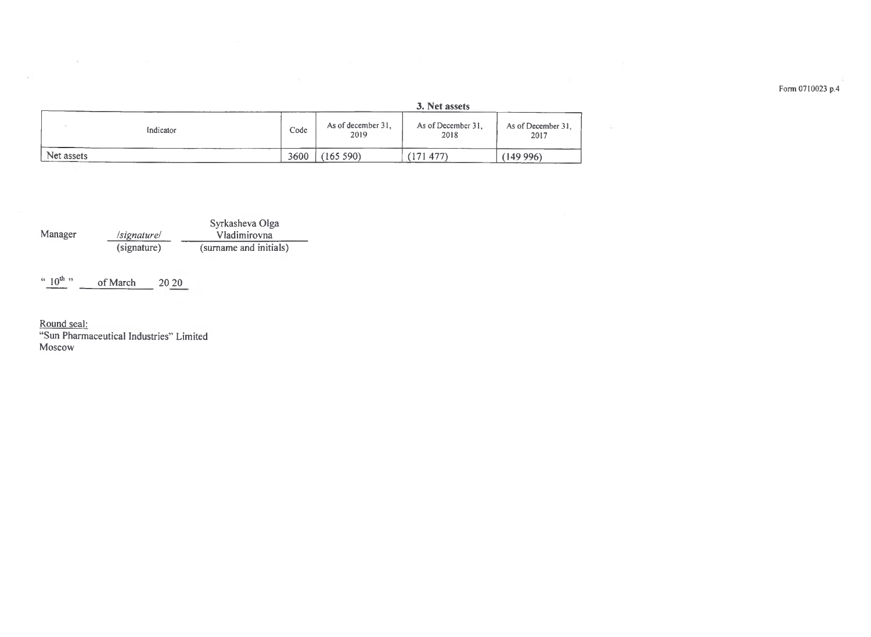|            |           | 3. Net assets |                            |                            |                            |  |  |
|------------|-----------|---------------|----------------------------|----------------------------|----------------------------|--|--|
|            | Indicator | Code          | As of december 31,<br>2019 | As of December 31,<br>2018 | As of December 31.<br>2017 |  |  |
| Net assets |           | 3600          | (165 590)                  | 477                        | (149 996)                  |  |  |

Syrkasheva Olga */signature!* \_\_\_\_\_\_\_Vladimirovna (signature) (surname and initials) Manager

of March  $20\ 20$  $\sim 10^{th}$  "

<u>Round seal:</u>

 $\sim$ 

 $\mathcal{C}^{\mathcal{C}}(\mathcal{C}^{\mathcal{C}})$ 

"Sun Pharmaceutical Industries" Limited Moscow

**Form 0710023 p.4**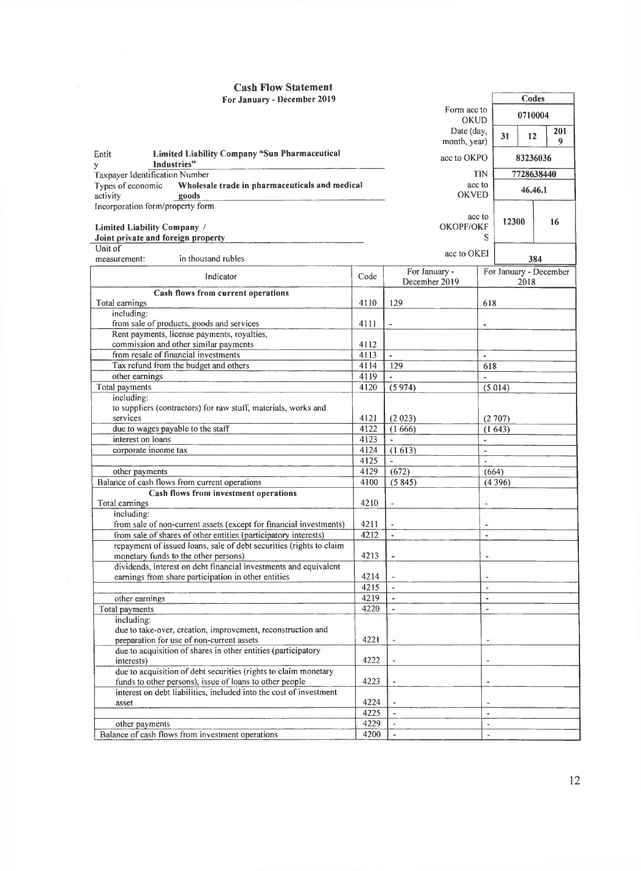#### **Cash Flow Statement For January - December 2019**

| For January - December 2019                                                                                                |              |                          | Codes                    |
|----------------------------------------------------------------------------------------------------------------------------|--------------|--------------------------|--------------------------|
|                                                                                                                            |              | Form acc to              | 0710004                  |
|                                                                                                                            |              | <b>OKUD</b>              |                          |
|                                                                                                                            |              | Date (day,               | 201<br>31<br>12          |
|                                                                                                                            |              | month, year)             | 9                        |
| Limited Liability Company "Sun Pharmaceutical<br>Entit<br>Industries"                                                      |              | acc to OKPO              | 83236036                 |
| y<br><b>Taxpayer Identification Number</b>                                                                                 |              |                          | <b>TIN</b><br>7728638440 |
| Types of economic<br>Wholesale trade in pharmaceuticals and medical                                                        |              |                          | acc to                   |
| activity<br>goods                                                                                                          |              | <b>OKVED</b>             | 46.46.1                  |
| Incorporation form/property form                                                                                           |              |                          |                          |
|                                                                                                                            |              |                          | acc to<br>12300<br>16    |
| Limited Liability Company /                                                                                                |              | OKOPF/OKF                | S                        |
| Joint private and foreign property<br>Unit of                                                                              |              |                          |                          |
| in thousand rubles<br>measurement:                                                                                         |              | acc to OKEI              | 384                      |
|                                                                                                                            |              | For January -            | For January - December   |
| Indicator                                                                                                                  | Code         | December 2019            | 2018                     |
| Cash flows from current operations                                                                                         |              |                          |                          |
| Total earnings                                                                                                             | 4110         | 129                      | 618                      |
| including:                                                                                                                 |              |                          |                          |
| from sale of products, goods and services<br>Rent payments, license payments, royalties,                                   | 4111         |                          | ۸                        |
| commission and other similar payments                                                                                      | 4112         |                          |                          |
| from resale of financial investments                                                                                       | 4113         | $\omega$                 | $\tilde{\phantom{a}}$    |
| Tax refund from the budget and others                                                                                      | 4114         | 129                      | 618                      |
| other earnings                                                                                                             | 4119         | $\bar{a}$                | $\sim$                   |
| Total payments                                                                                                             | 4120         | (5974)                   | (5014)                   |
| including:                                                                                                                 |              |                          |                          |
| to suppliers (contractors) for raw stuff, materials, works and                                                             |              |                          |                          |
| services                                                                                                                   | 4121         | (2 023)                  | (2707)                   |
| due to wages payable to the staff                                                                                          | 4122         | (1666)                   | (1643)                   |
| interest on loans                                                                                                          | 4123<br>4124 |                          | ÷.                       |
| corporate income tax                                                                                                       | 4125         | (1613)<br>$\blacksquare$ | $\bar{a}$<br>ä,          |
| other payments                                                                                                             | 4129         | (672)                    | (664)                    |
| Balance of cash flows from current operations                                                                              | 4100         | (5845)                   | (4396)                   |
| Cash flows from investment operations                                                                                      |              |                          |                          |
| Total earnings                                                                                                             | 4210         | ٠                        | ٠                        |
| including:                                                                                                                 |              |                          |                          |
| from sale of non-current assets (except for financial investments)                                                         | 4211         | $\overline{\phantom{a}}$ | ۰                        |
| from sale of shares of other entities (participatory interests)                                                            | 4212         | $\blacksquare$           | ä,                       |
| repayment of issued loans, sale of debt securities (rights to claim                                                        |              |                          |                          |
| monetary funds to the other persons)<br>dividends, interest on debt financial investments and equivalent                   | 4213         |                          |                          |
| earnings from share participation in other entities                                                                        | 4214         |                          |                          |
|                                                                                                                            | 4215         | $\blacksquare$           |                          |
| other earnings                                                                                                             | 4219         | $\sim$                   | ä,                       |
| Total payments                                                                                                             | 4220         | $\blacksquare$           | ä,                       |
| including:                                                                                                                 |              |                          |                          |
| due to take-over, creation, improvement, reconstruction and                                                                |              |                          |                          |
| preparation for use of non-current assets                                                                                  | 4221         | ٠                        | ٠                        |
| due to acquisition of shares in other entities (participatory<br>interests)                                                | 4222         |                          |                          |
| due to acquisition of debt securities (rights to claim monetary<br>funds to other persons), issue of loans to other people | 4223         |                          |                          |
| interest on debt liabilities, included into the cost of investment                                                         |              |                          |                          |
| asset                                                                                                                      | 4224         |                          |                          |
|                                                                                                                            | 4225         | $\tilde{\phantom{a}}$    | $\overline{\phantom{a}}$ |
| other payments                                                                                                             | 4229         |                          | $\blacksquare$           |
| Balance of cash flows from investment operations                                                                           | 4200         |                          | $\overline{\phantom{a}}$ |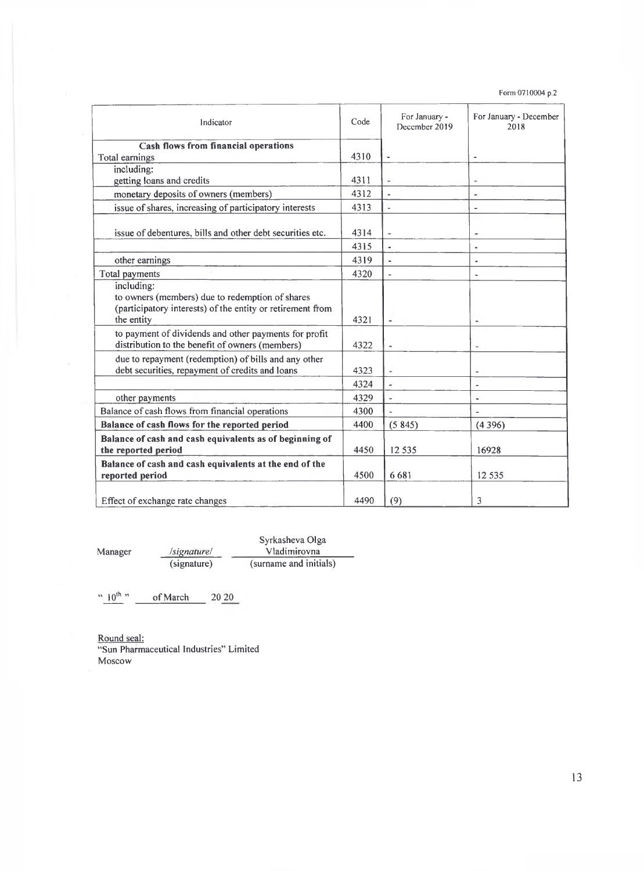**Form 0710004 p.2**

| Indicator                                                                                                                                 | Code | For January -<br>December 2019 | For January - December<br>2018 |
|-------------------------------------------------------------------------------------------------------------------------------------------|------|--------------------------------|--------------------------------|
| <b>Cash flows from financial operations</b>                                                                                               |      |                                |                                |
| Total earnings                                                                                                                            | 4310 | $\blacksquare$                 | $\blacksquare$                 |
| including:                                                                                                                                |      |                                |                                |
| getting loans and credits                                                                                                                 | 4311 | $\overline{a}$                 | ٠                              |
| monetary deposits of owners (members)                                                                                                     | 4312 | $\overline{a}$                 | $\blacksquare$                 |
| issue of shares, increasing of participatory interests                                                                                    | 4313 | $\overline{a}$                 |                                |
| issue of debentures, bills and other debt securities etc.                                                                                 | 4314 | ÷                              | ٠                              |
|                                                                                                                                           | 4315 | ٠                              | $\blacksquare$                 |
| other earnings                                                                                                                            | 4319 | $\blacksquare$                 | $\blacksquare$                 |
| Total payments                                                                                                                            | 4320 | L,                             | $\blacksquare$                 |
| including:<br>to owners (members) due to redemption of shares<br>(participatory interests) of the entity or retirement from<br>the entity | 4321 | ٠                              | ٠                              |
| to payment of dividends and other payments for profit<br>distribution to the benefit of owners (members)                                  | 4322 | ٠                              | ٠                              |
| due to repayment (redemption) of bills and any other<br>debt securities, repayment of credits and loans                                   | 4323 |                                | ٠                              |
|                                                                                                                                           | 4324 |                                | $\overline{a}$                 |
| other payments                                                                                                                            | 4329 | $\overline{a}$                 |                                |
| Balance of cash flows from financial operations                                                                                           | 4300 |                                |                                |
| Balance of cash flows for the reported period                                                                                             | 4400 | (5845)                         | (4396)                         |
| Balance of cash and cash equivalents as of beginning of<br>the reported period                                                            | 4450 | 12 5 3 5                       | 16928                          |
| Balance of cash and cash equivalents at the end of the<br>reported period                                                                 | 4500 | 6681                           | 12 5 3 5                       |
| Effect of exchange rate changes                                                                                                           | 4490 | (9)                            | 3                              |

Syrkasheva Olga Manager */signature/* \_\_\_\_\_\_\_ Vladimirovna  $\frac{lognature}{lognature)}$   $\frac{Valomivora}{summan}$ 

" $10^{th}$ " of March 20 20

Round seal: "Sun Pharmaceutical Industries" Limited Moscow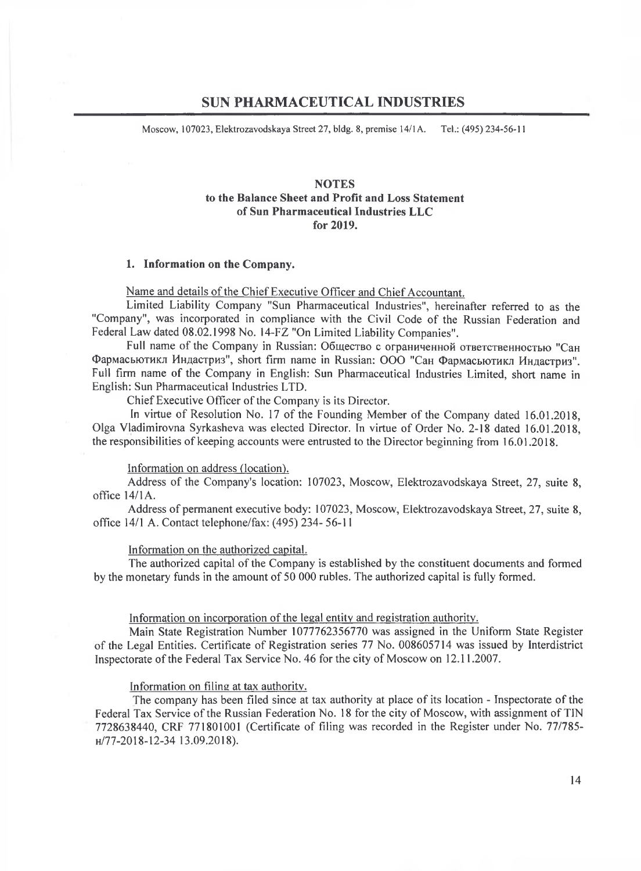# **SUN PHARMACEUTICAL INDUSTRIES**

Moscow, 107023, Elektrozavodskaya Street 27, bldg. 8, premise 14/1 A. Tel.: (495) 234-56-11

## **NOTES to the Balance Sheet and Profit and Loss Statement of Sun Pharmaceutical Industries LLC for 2019.**

#### **1. Information on the Company.**

Name and details of the Chief Executive Officer and Chief Accountant.

Limited Liability Company "Sun Pharmaceutical Industries", hereinafter referred to as the "Company", was incorporated in compliance with the Civil Code of the Russian Federation and Federal Law dated 08.02.1998 No. 14-FZ "On Limited Liability Companies".

Full name of the Company in Russian: Общество с ограниченной ответственностью "Сан Фармасьютикл Ищщстриз',, short firm name in Russian: ООО "Сан Фармасьютикл Индастриз". Full firm name of the Company in English: Sun Pharmaceutical Industries Limited, short name in English: Sun Pharmaceutical Industries LTD.

Chief Executive Officer of the Company is its Director.

In virtue of Resolution No. 17 of the Founding Member of the Company dated 16.01.2018, Olga Vladimirovna Syrkasheva was elected Director. In virtue of Order No. 2-18 dated 16.01.2018, the responsibilities of keeping accounts were entrusted to the Director beginning from 16.01.2018.

Information on address (location^.

Address of the Company's location: 107023, Moscow, Elektrozavodskaya Street, 27, suite 8, office  $14/1$ A.

Address of permanent executive body: 107023, Moscow, Elektrozavodskaya Street, 27, suite 8, office 14/1 A. Contact telephone/fax: (495) 234- 56-11

Information on the authorized capital.

The authorized capital of the Company is established by the constituent documents and formed by the monetary funds in the amount of 50 000 rubles. The authorized capital is fully formed.

## Information on incorporation of the legal entity and registration authority.

Main State Registration Number 1077762356770 was assigned in the Uniform State Register of the Legal Entities. Certificate of Registration series 77 No. 008605714 was issued by Interdistrict Inspectorate of the Federal Tax Service No. 46 for the city of Moscow on 12.11.2007.

Information on filing at tax authority.

The company has been filed since at tax authority at place of its location - Inspectorate of the Federal Tax Service of the Russian Federation No. 18 for the city of Moscow, with assignment of TIN 7728638440, CRF 771801001 (Certificate of filing was recorded in the Register under No. 77/785 h/77-20 18-12-34 13.09.2018).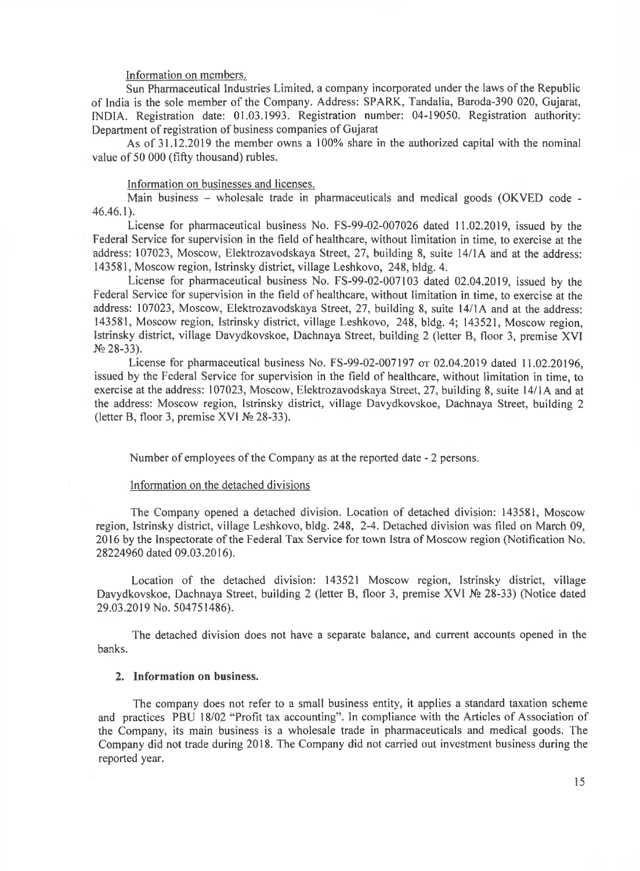#### Information on members.

Sun Pharmaceutical Industries Limited, a company incorporated under the laws of the Republic of India is the sole member of the Company. Address: SPARK, Tandalia, Baroda-390 020, Gujarat, INDIA. Registration date: 01.03.1993. Registration number: 04-19050. Registration authority: Department of registration of business companies of Gujarat

As of 31.12.2019 the member owns a 100% share in the authorized capital with the nominal value of 50 000 (fifty thousand) rubles.

#### Information on businesses and licenses.

Main business – wholesale trade in pharmaceuticals and medical goods (OKVED code -46.46.1).

License for pharmaceutical business No. FS-99-02-007026 dated 11.02.2019, issued by the Federal Service for supervision in the field of healthcare, without limitation in time, to exercise at the address: 107023, Moscow, Elektrozavodskaya Street, 27, building 8, suite 14/1A and at the address: 143581, Moscow region, Istrinsky district, village Leshkovo, 248, bldg. 4.

License for pharmaceutical business No. FS-99-02-007103 dated 02.04.2019, issued by the Federal Service for supervision in the field of healthcare, without limitation in time, to exercise at the address: 107023, Moscow, Elektrozavodskaya Street, 27, building 8, suite 14/1A and at the address: 143581, Moscow region, Istrinsky district, village Leshkovo, 248, bldg. 4; 143521, Moscow region, Istrinsky district, village Davydkovskoe, Dachnaya Street, building 2 (letter B, floor 3, premise XVI № 28-33).

License for pharmaceutical business No. FS-99-02-007197 от 02.04.2019 dated 11.02.20196, issued by the Federal Service for supervision in the field of healthcare, without limitation in time, to exercise at the address: 107023, Moscow, Elektrozavodskaya Street, 27, building 8, suite 14/1A and at the address: Moscow region, Istrinsky district, village Davydkovskoe, Dachnaya Street, building 2 (letter B, floor 3, premise XVI № 28-33).

Number of employees of the Company as at the reported date - 2 persons.

#### Information on the detached divisions

The Company opened a detached division. Location of detached division: 143581, Moscow region, Istrinsky district, village Leshkovo, bldg. 248, 2-4. Detached division was filed on March 09, 2016 by the Inspectorate of the Federal Tax Service for town Istra of Moscow region (Notification No. 28224960 dated 09.03.2016).

Location of the detached division: 143521 Moscow region, Istrinsky district, village Davydkovskoe, Dachnaya Street, building 2 (letter B, floor 3, premise XVI № 28-33) (Notice dated 29.03.2019 No. 504751486).

The detached division does not have a separate balance, and current accounts opened in the banks.

#### **2. Information on business.**

The company does not refer to a small business entity, it applies a standard taxation scheme and practices PBU 18/02 "Profit tax accounting". In compliance with the Articles of Association of the Company, its main business is a wholesale trade in pharmaceuticals and medical goods. The Company did not trade during 2018. The Company did not carried out investment business during the reported year.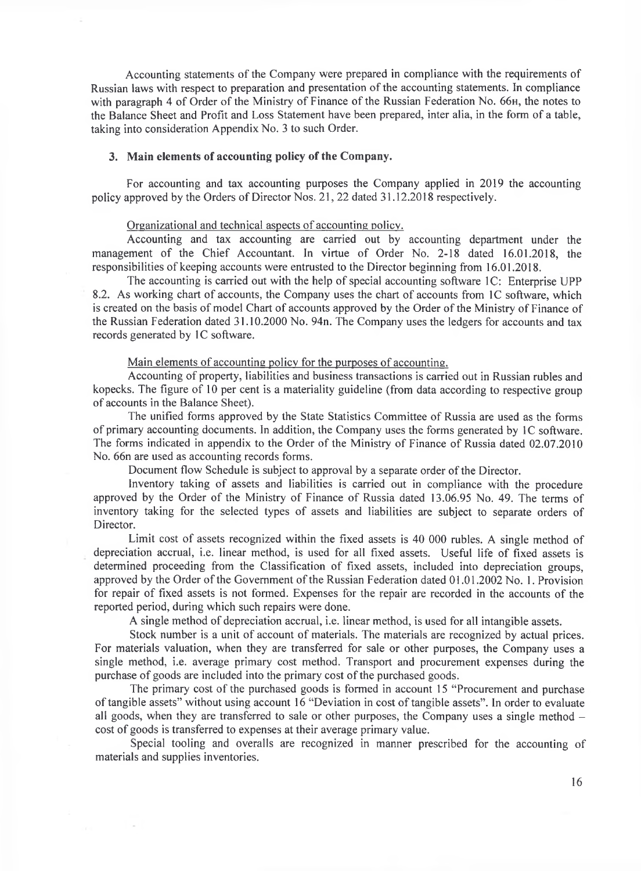Accounting statements of the Company were prepared in compliance with the requirements of Russian laws with respect to preparation and presentation of the accounting statements. In compliance with paragraph 4 of Order of the Ministry of Finance of the Russian Federation No. 66<sub>H</sub>, the notes to the Balance Sheet and Profit and Loss Statement have been prepared, inter alia, in the form of a table, taking into consideration Appendix No. 3 to such Order.

#### **3. Main elements of accounting policy of the Company.**

For accounting and tax accounting purposes the Company applied in 2019 the accounting policy approved by the Orders of Director Nos. 21, 22 dated 31.12.2018 respectively.

#### Organizational and technical aspects of accounting policy.

Accounting and tax accounting are carried out by accounting department under the management of the Chief Accountant. In virtue of Order No. 2-18 dated 16.01.2018, the responsibilities of keeping accounts were entrusted to the Director beginning from 16.01.2018.

The accounting is carried out with the help of special accounting software 1C: Enterprise UPP 8.2. As working chart of accounts, the Company uses the chart of accounts from 1C software, which is created on the basis of model Chart of accounts approved by the Order of the Ministry of Finance of the Russian Federation dated 31.10.2000 No. 94n. The Company uses the ledgers for accounts and tax records generated by 1C software.

## Main elements of accounting policy for the purposes of accounting.

Accounting of property, liabilities and business transactions is carried out in Russian rubles and kopecks. The figure of 10 per cent is a materiality guideline (from data according to respective group of accounts in the Balance Sheet).

The unified forms approved by the State Statistics Committee of Russia are used as the forms of primary accounting documents. In addition, the Company uses the forms generated by 1C software. The forms indicated in appendix to the Order of the Ministry of Finance of Russia dated 02.07.2010 No. 66n are used as accounting records forms.

Document flow Schedule is subject to approval by a separate order of the Director.

Inventory taking of assets and liabilities is carried out in compliance with the procedure approved by the Order of the Ministry of Finance of Russia dated 13.06.95 No. 49. The terms of inventory taking for the selected types of assets and liabilities are subject to separate orders of Director.

Limit cost of assets recognized within the fixed assets is 40 000 rubles. A single method of depreciation accrual, i.e. linear method, is used for all fixed assets. Useful life of fixed assets is determined proceeding from the Classification of fixed assets, included into depreciation groups, approved by the Order of the Government of the Russian Federation dated 01.01.2002 No. 1. Provision for repair of fixed assets is not formed. Expenses for the repair are recorded in the accounts of the reported period, during which such repairs were done.

A single method of depreciation accrual, i.e. linear method, is used for all intangible assets.

Stock number is a unit of account of materials. The materials are recognized by actual prices. For materials valuation, when they are transferred for sale or other purposes, the Company uses a single method, i.e. average primary cost method. Transport and procurement expenses during the purchase of goods are included into the primary cost of the purchased goods.

The primary cost of the purchased goods is formed in account 15 "Procurement and purchase of tangible assets" without using account 16 "Deviation in cost of tangible assets". In order to evaluate all goods, when they are transferred to sale or other purposes, the Company uses a single method – cost of goods is transferred to expenses at their average primary value.

Special tooling and overalls are recognized in manner prescribed for the accounting of materials and supplies inventories.

 $\sim$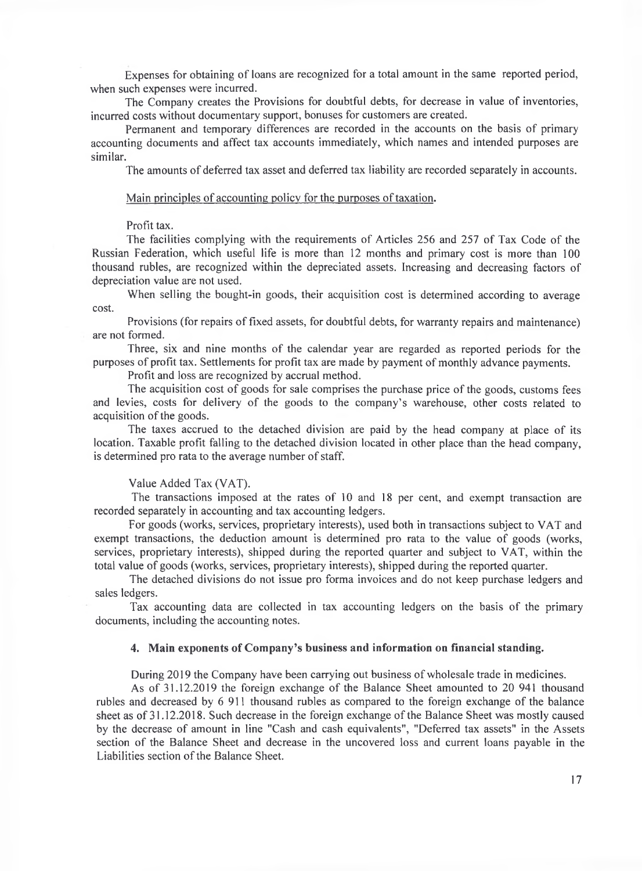Expenses for obtaining of loans are recognized for a total amount in the same reported period, when such expenses were incurred.

The Company creates the Provisions for doubtful debts, for decrease in value of inventories, incurred costs without documentary support, bonuses for customers are created.

Permanent and temporary differences are recorded in the accounts on the basis of primary accounting documents and affect tax accounts immediately, which names and intended purposes are similar.

The amounts of deferred tax asset and deferred tax liability are recorded separately in accounts.

#### Main principles of accounting policy for the purposes of taxation.

## Profit tax.

The facilities complying with the requirements of Articles 256 and 257 of Tax Code of the Russian Federation, which useful life is more than 12 months and primary cost is more than 100 thousand rubles, are recognized within the depreciated assets. Increasing and decreasing factors of depreciation value are not used.

When selling the bought-in goods, their acquisition cost is determined according to average cost.

Provisions (for repairs of fixed assets, for doubtful debts, for warranty repairs and maintenance) are not formed.

Three, six and nine months of the calendar year are regarded as reported periods for the purposes of profit tax. Settlements for profit tax are made by payment of monthly advance payments.

Profit and loss are recognized by accrual method.

The acquisition cost of goods for sale comprises the purchase price of the goods, customs fees and levies, costs for delivery of the goods to the company's warehouse, other costs related to acquisition of the goods.

The taxes accrued to the detached division are paid by the head company at place of its location. Taxable profit falling to the detached division located in other place than the head company, is determined pro rata to the average number of staff.

## Value Added Tax (VAT).

The transactions imposed at the rates of 10 and 18 per cent, and exempt transaction are recorded separately in accounting and tax accounting ledgers.

For goods (works, services, proprietary interests), used both in transactions subject to VAT and exempt transactions, the deduction amount is determined pro rata to the value of goods (works, services, proprietary interests), shipped during the reported quarter and subject to VAT, within the total value of goods (works, services, proprietary interests), shipped during the reported quarter.

The detached divisions do not issue pro forma invoices and do not keep purchase ledgers and sales ledgers.

Tax accounting data are collected in tax accounting ledgers on the basis of the primary documents, including the accounting notes.

## **4. Main exponents of Company^ business and information on financial standing.**

During 2019 the Company have been carrying out business of wholesale trade in medicines.

As of 31.12.2019 the foreign exchange of the Balance Sheet amounted to 20 941 thousand rubles and decreased by 6 911 thousand rubles as compared to the foreign exchange of the balance sheet as of 31.12.2018. Such decrease in the foreign exchange of the Balance Sheet was mostly caused by the decrease of amount in line "Cash and cash equivalents", "Deferred tax assets" in the Assets section of the Balance Sheet and decrease in the uncovered loss and current loans payable in the Liabilities section of the Balance Sheet.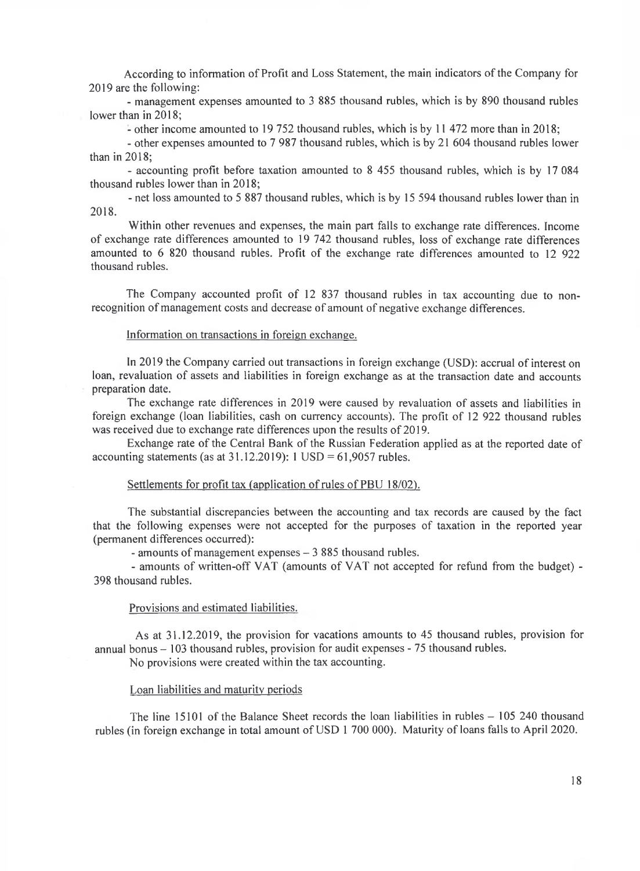According to information of Profit and Loss Statement, the main indicators of the Company for 2019 are the following:

- management expenses amounted to 3 885 thousand rubles, which is by 890 thousand rubles lower than in 2018;

- other income amounted to 19 752 thousand rubles, which is by 11 472 more than in 2018;

- other expenses amounted to 7 987 thousand rubles, which is by 21 604 thousand rubles lower than in 2018;

- accounting profit before taxation amounted to 8 455 thousand rubles, which is by 17 084 thousand rubles lower than in 2018;

- net loss amounted to 5 887 thousand rubles, which is by 15 594 thousand rubles lower than in 2018.

Within other revenues and expenses, the main part falls to exchange rate differences. Income of exchange rate differences amounted to 19 742 thousand rubles, loss of exchange rate differences amounted to 6 820 thousand rubles. Profit of the exchange rate differences amounted to 12 922 thousand rubles.

The Company accounted profit of 12 837 thousand rubles in tax accounting due to nonrecognition of management costs and decrease of amount of negative exchange differences.

#### Information on transactions in foreign exchange.

In 2019 the Company carried out transactions in foreign exchange (USD): accrual of interest on loan, revaluation of assets and liabilities in foreign exchange as at the transaction date and accounts preparation date.

The exchange rate differences in 2019 were caused by revaluation of assets and liabilities in foreign exchange (loan liabilities, cash on currency accounts). The profit of 12 922 thousand rubles was received due to exchange rate differences upon the results of 2019.

Exchange rate of the Central Bank of the Russian Federation applied as at the reported date of accounting statements (as at  $31.12.2019$ ): 1 USD = 61,9057 rubles.

### Settlements for profit tax (application of rules of PBU 18/02).

The substantial discrepancies between the accounting and tax records are caused by the fact that the following expenses were not accepted for the purposes of taxation in the reported year (permanent differences occurred):

- amounts of management expenses - 3 885 thousand rubles.

- amounts of written-off VAT (amounts of VAT not accepted for refund from the budget)- 398 thousand rubles.

#### Provisions and estimated liabilities.

As at 31.12.2019, the provision for vacations amounts to 45 thousand rubles, provision for annual bonus - 103 thousand rubles, provision for audit expenses - 75 thousand rubles. No provisions were created within the tax accounting.

Loan liabilities and maturity periods

The line  $15101$  of the Balance Sheet records the loan liabilities in rubles  $-105$  240 thousand rubles (in foreign exchange in total amount of USD 1 700 000). Maturity of loans falls to April 2020.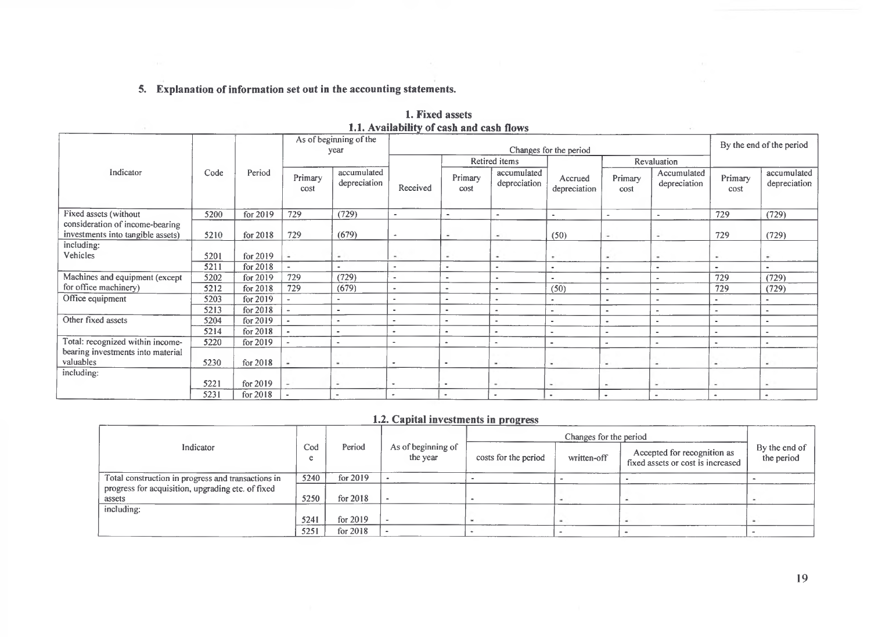# **5. Explanation of information set out in the accounting statements.**

|                                                                      | 1.1. Availability of cash and cash flows |          |                 |                                |                             |                      |                             |                          |                          |                              |                          |                             |
|----------------------------------------------------------------------|------------------------------------------|----------|-----------------|--------------------------------|-----------------------------|----------------------|-----------------------------|--------------------------|--------------------------|------------------------------|--------------------------|-----------------------------|
|                                                                      |                                          |          |                 | As of beginning of the<br>year |                             |                      |                             | Changes for the period   |                          |                              | By the end of the period |                             |
|                                                                      |                                          |          |                 |                                |                             |                      | Retired items               |                          |                          | Revaluation                  |                          |                             |
| Indicator                                                            | Code                                     | Period   | Primary<br>cost | accumulated<br>depreciation    | Received                    | Primary<br>cost      | accumulated<br>depreciation | Accrued<br>depreciation  | Primary<br>cost          | Accumulated<br>depreciation  | Primary<br>cost          | accumulated<br>depreciation |
| Fixed assets (without                                                | 5200                                     | for 2019 | 729             | (729)                          | $\overline{\phantom{a}}$    | $\sim$               | ٠                           | $\sim$                   | $\overline{\phantom{a}}$ |                              | 729                      | (729)                       |
| consideration of income-bearing<br>investments into tangible assets) | 5210                                     | for 2018 | 729             | (679)                          | $\mathcal{L}_{\mathcal{A}}$ | ۰                    | $\overline{\phantom{a}}$    | (50)                     | ۰                        | ٠                            | 729                      | (729)                       |
| including:<br>Vehicles                                               | 5201                                     | for 2019 | ۰               | ۰                              | $\sim$                      | ٠                    | ۰                           | $\,$                     | ۰                        | ۰                            | ٠                        | ٠                           |
|                                                                      | 5211                                     | for 2018 | $\blacksquare$  |                                | $\sim$                      | $\ddot{\phantom{0}}$ |                             | $\bullet$                | ۰                        | $\blacksquare$               | $\blacksquare$           |                             |
| Machines and equipment (except                                       | 5202                                     | for 2019 | 729             | (729)                          | $\overline{\phantom{0}}$    | $\blacksquare$       | $\sim$                      |                          | ٠                        |                              | 729                      | (729)                       |
| for office machinery)                                                | 5212                                     | for 2018 | 729             | (679)                          | $\overline{\phantom{a}}$    | $\overline{a}$       | $\sim$                      | (50)                     | $\overline{\phantom{a}}$ | $\qquad \qquad \blacksquare$ | 729                      | (729)                       |
| Office equipment                                                     | 5203                                     | for 2019 |                 | $\blacksquare$                 | ۰                           | $\hat{\phantom{a}}$  | $\blacksquare$              |                          | ٠                        |                              |                          |                             |
|                                                                      | 5213                                     | for 2018 |                 | $\blacksquare$                 | $\blacksquare$              | $\blacksquare$       | $\bullet$                   | $\overline{\phantom{a}}$ | $\blacksquare$           |                              |                          | ٠                           |
| Other fixed assets                                                   | 5204                                     | for 2019 |                 | ٠                              |                             | $\blacksquare$       | $\blacksquare$              | $\overline{\phantom{a}}$ | $\blacksquare$           | $\sim$                       |                          | ٠                           |
|                                                                      | 5214                                     | for 2018 | $\bullet$       | $\blacksquare$                 | ٠                           | $\bullet$            | $\blacksquare$              |                          | ۰                        |                              | $\blacksquare$           | ٠                           |
| Total: recognized within income-                                     | 5220                                     | for 2019 |                 | $\blacksquare$                 | ۰                           | $\bullet$            | $\sim$                      | $\bullet$                | $\sim$                   | $\bullet$                    | $\sim$                   | $\blacksquare$              |
| bearing investments into material<br>valuables                       | 5230                                     | for 2018 |                 | $\sim$                         | $\bullet$                   | $\bullet$            | $\overline{\phantom{a}}$    | ۰                        | $\overline{\phantom{a}}$ | $\,$                         | $\overline{\phantom{a}}$ | ٠                           |
| including:                                                           |                                          |          |                 |                                |                             |                      |                             |                          |                          |                              |                          |                             |
|                                                                      | 5221                                     | for 2019 | ٠               | $\overline{\phantom{a}}$       | ٠                           | $\bullet$            | ۰                           | ۰                        | $\sim$                   | $\sim$                       | $\sim$                   | $\blacksquare$              |
|                                                                      | 5231                                     | for 2018 |                 |                                | ٠                           | ٠                    | $\bullet$                   | $\overline{a}$           | $\sim$                   |                              | $\blacksquare$           | $\bullet$                   |

# **1. Fixed assets 1.1. Availability of cash and cash flows**

# **1.2. Capital investments in progress**

|                                                    |          |            |                                |                      | Changes for the period |                                                                  |                             |
|----------------------------------------------------|----------|------------|--------------------------------|----------------------|------------------------|------------------------------------------------------------------|-----------------------------|
| Indicator                                          | Cod<br>e | Period     | As of beginning of<br>the year | costs for the period | written-off            | Accepted for recognition as<br>fixed assets or cost is increased | By the end of<br>the period |
| Total construction in progress and transactions in | 5240     | for $2019$ |                                |                      |                        |                                                                  |                             |
| progress for acquisition, upgrading etc. of fixed  |          |            |                                |                      |                        |                                                                  |                             |
| assets                                             | 5250     | for 2018   |                                |                      |                        |                                                                  |                             |
| including:                                         |          |            |                                |                      |                        |                                                                  |                             |
|                                                    | 5241     | for 2019   |                                |                      |                        |                                                                  |                             |
|                                                    | 5251     | for 2018   |                                |                      |                        |                                                                  |                             |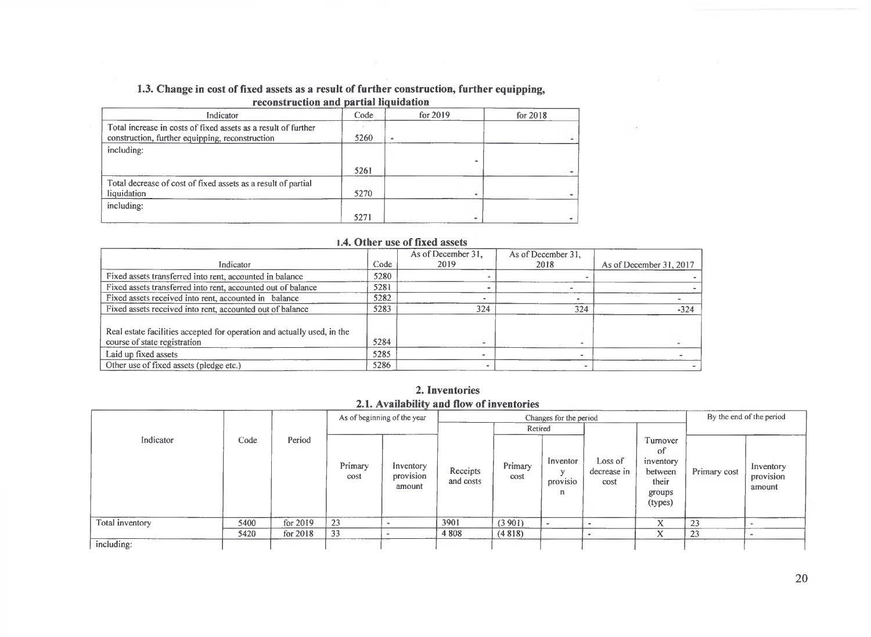#### **1.3. Change in cost of fixed assets as a result of further construction, further equipping, reconstruction and partial liquidation\_\_\_\_\_\_\_\_\_ \_\_\_\_\_\_\_\_\_\_\_**

| госонын асиби ана-рагиат начималон                             |      |          |            |  |  |  |  |  |  |  |
|----------------------------------------------------------------|------|----------|------------|--|--|--|--|--|--|--|
| Indicator                                                      | Code | for 2019 | for $2018$ |  |  |  |  |  |  |  |
| Total increase in costs of fixed assets as a result of further |      |          |            |  |  |  |  |  |  |  |
| construction, further equipping, reconstruction                | 5260 | $\,$     |            |  |  |  |  |  |  |  |
| including:                                                     |      |          |            |  |  |  |  |  |  |  |
|                                                                |      |          |            |  |  |  |  |  |  |  |
|                                                                | 5261 |          |            |  |  |  |  |  |  |  |
| Total decrease of cost of fixed assets as a result of partial  |      |          |            |  |  |  |  |  |  |  |
| liquidation                                                    | 5270 |          |            |  |  |  |  |  |  |  |
| including:                                                     |      |          |            |  |  |  |  |  |  |  |
|                                                                | 5271 |          |            |  |  |  |  |  |  |  |

#### **1.4. Other use of fixed assets**

|                                                                         |      | As of December 31. | As of December 31. |                         |
|-------------------------------------------------------------------------|------|--------------------|--------------------|-------------------------|
| Indicator                                                               | Code | 2019               | 2018               | As of December 31, 2017 |
| Fixed assets transferred into rent, accounted in balance                | 5280 |                    |                    |                         |
| Fixed assets transferred into rent, accounted out of balance            | 5281 |                    |                    |                         |
| Fixed assets received into rent, accounted in balance                   | 5282 |                    |                    |                         |
| Fixed assets received into rent, accounted out of balance               | 5283 | 324                | 324                | $-324$                  |
| Real estate facilities accepted for operation and actually used, in the |      |                    |                    |                         |
| course of state registration                                            | 5284 |                    |                    |                         |
| Laid up fixed assets                                                    | 5285 |                    |                    |                         |
| Other use of fixed assets (pledge etc.)                                 | 5286 |                    |                    |                         |

## **2. Inventories 2.1. Availability and flow of inventories**

÷

|                        |      |          | As of beginning of the year<br>Changes for the period |                                  |                       |                 |                                           | By the end of the period       |                                                                      |              |                                  |
|------------------------|------|----------|-------------------------------------------------------|----------------------------------|-----------------------|-----------------|-------------------------------------------|--------------------------------|----------------------------------------------------------------------|--------------|----------------------------------|
|                        |      |          |                                                       |                                  |                       |                 | Retired                                   |                                |                                                                      |              |                                  |
| Indicator              | Code | Period   | Primary<br>cost                                       | Inventory<br>provision<br>amount | Receipts<br>and costs | Primary<br>cost | Inventor<br>$\mathbf{u}$<br>provisio<br>n | Loss of<br>decrease in<br>cost | Turnover<br>of<br>inventory<br>between<br>their<br>groups<br>(types) | Primary cost | Inventory<br>provision<br>amount |
| <b>Total inventory</b> | 5400 | for 2019 | 23                                                    |                                  | 3901                  | (3901)          |                                           |                                |                                                                      | 23           |                                  |
|                        | 5420 | for 2018 | 33                                                    |                                  | 4 8 0 8               | (4818)          |                                           |                                | л                                                                    | 23           |                                  |
| including:             |      |          |                                                       |                                  |                       |                 |                                           |                                |                                                                      |              |                                  |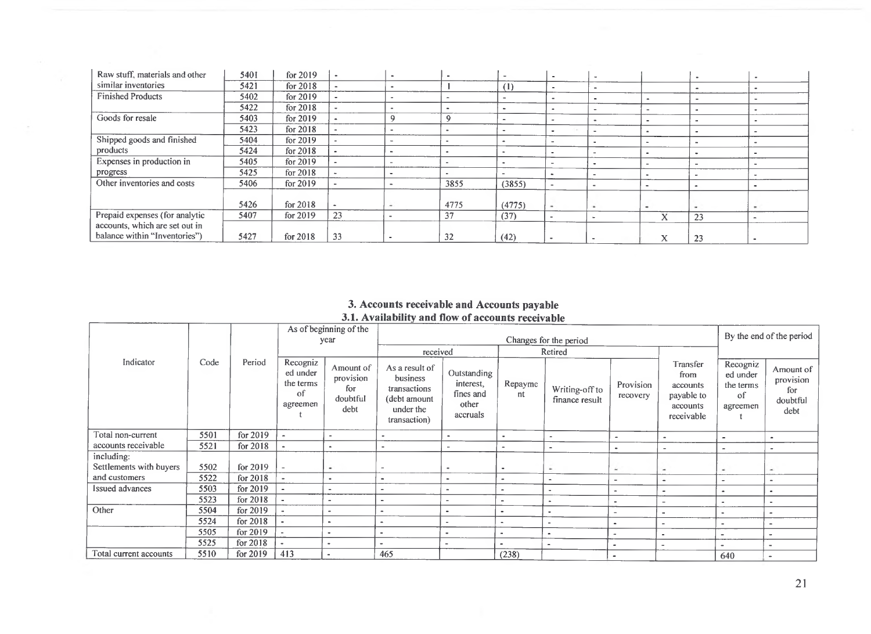| Raw stuff, materials and other | 5401 | for 2019   |                          |        |      | $\overline{\phantom{a}}$ | $\blacksquare$ | $\sim$                   |                   |                          |  |
|--------------------------------|------|------------|--------------------------|--------|------|--------------------------|----------------|--------------------------|-------------------|--------------------------|--|
| similar inventories            | 5421 | for $2018$ |                          |        |      | (1)                      |                | $\sim$                   |                   |                          |  |
| <b>Finished Products</b>       | 5402 | for $2019$ | $\cdot$                  |        |      |                          |                | $\sim$                   |                   |                          |  |
|                                | 5422 | for 2018   | $\sim$                   |        |      |                          |                | $\overline{\phantom{a}}$ |                   |                          |  |
| Goods for resale               | 5403 | for $2019$ |                          |        |      |                          |                |                          |                   |                          |  |
|                                | 5423 | for $2018$ |                          | ۰      |      |                          |                | $\sim$                   |                   |                          |  |
| Shipped goods and finished     | 5404 | for $2019$ | $\overline{\phantom{a}}$ | ۰      |      |                          |                | $\equiv$                 |                   |                          |  |
| products                       | 5424 | for $2018$ |                          |        |      |                          |                | $\sim$                   |                   |                          |  |
| Expenses in production in      | 5405 | for 2019   | $\sim$                   |        |      |                          |                | $\sim$                   |                   | $\overline{\phantom{a}}$ |  |
| progress                       | 5425 | for 2018   | $\sim$                   |        |      | $\sim$                   |                | $\overline{\phantom{a}}$ |                   |                          |  |
| Other inventories and costs    | 5406 | for 2019   |                          |        | 3855 | (3855)                   |                | $\overline{\phantom{a}}$ |                   |                          |  |
|                                |      |            |                          |        |      |                          |                |                          |                   |                          |  |
|                                | 5426 | for 2018   |                          | $\,$   | 4775 | (4775)                   | $\,$           | $\sim$                   |                   | $\sim$                   |  |
| Prepaid expenses (for analytic | 5407 | for $2019$ | 23                       | $\sim$ | 37   | (37)                     |                | $\sim$                   | $\mathbf{v}$<br>л | 23                       |  |
| accounts, which are set out in |      |            |                          |        |      |                          |                |                          |                   |                          |  |
| balance within "Inventories")  | 5427 | for $2018$ | 33                       |        | 32   | (42)                     | $\bullet$      | $\overline{\phantom{0}}$ | v<br>$\lambda$    | 23                       |  |

#### **3. Accounts receivable and Accounts payable 3.1. Availability and flow of accounts receivable**

|                         |      |            |                                                     | As of beginning of the                            |                                                                                         |                                                            |                          |                                  |                          |                                                                      |                                                     |                                                   |  |
|-------------------------|------|------------|-----------------------------------------------------|---------------------------------------------------|-----------------------------------------------------------------------------------------|------------------------------------------------------------|--------------------------|----------------------------------|--------------------------|----------------------------------------------------------------------|-----------------------------------------------------|---------------------------------------------------|--|
|                         |      |            |                                                     | year                                              |                                                                                         |                                                            |                          | Changes for the period           |                          |                                                                      |                                                     | By the end of the period                          |  |
|                         |      |            |                                                     |                                                   | received                                                                                |                                                            |                          | Retired                          |                          |                                                                      |                                                     |                                                   |  |
| Indicator               | Code | Period     | Recogniz<br>ed under<br>the terms<br>of<br>agreemen | Amount of<br>provision<br>fог<br>doubtful<br>debt | As a result of<br>business<br>transactions<br>(debt amount<br>under the<br>transaction) | Outstanding<br>interest,<br>fines and<br>other<br>accruals | Repayme<br>nt            | Writing-off to<br>finance result | Provision<br>recovery    | Transfer<br>from<br>accounts<br>payable to<br>accounts<br>receivable | Recogniz<br>ed under<br>the terms<br>of<br>agreemen | Amount of<br>provision<br>for<br>doubtful<br>debt |  |
| Total non-current       | 5501 | for $2019$ |                                                     | $\overline{\phantom{a}}$                          | $\overline{\phantom{a}}$                                                                |                                                            | $\sim$                   |                                  | $\blacksquare$           |                                                                      | $\blacksquare$                                      |                                                   |  |
| accounts receivable     | 5521 | for 2018   |                                                     | $\sim$                                            | $\overline{\phantom{a}}$                                                                |                                                            | $\overline{\phantom{a}}$ |                                  | $\bullet$                |                                                                      | $\overline{a}$                                      |                                                   |  |
| including:              |      |            |                                                     |                                                   |                                                                                         |                                                            |                          |                                  |                          |                                                                      |                                                     |                                                   |  |
| Settlements with buyers | 5502 | for 2019   |                                                     | $\blacksquare$                                    | $\overline{\phantom{a}}$                                                                |                                                            |                          | $\sim$                           | ۰                        | ۰                                                                    | ۰                                                   |                                                   |  |
| and customers           | 5522 | for 2018   |                                                     | $\epsilon$                                        | $\blacksquare$                                                                          |                                                            | $\ddot{}$                | $\overline{\phantom{a}}$         | $\overline{\phantom{a}}$ | ۰                                                                    | $\sim$                                              | ٠                                                 |  |
| <b>Issued advances</b>  | 5503 | for 2019   |                                                     | $\overline{\phantom{a}}$                          | $\overline{\phantom{a}}$                                                                | ٠                                                          | ٠                        | $\overline{a}$                   | $\sim$                   |                                                                      |                                                     |                                                   |  |
|                         | 5523 | for 2018   |                                                     |                                                   |                                                                                         |                                                            | $\overline{\phantom{a}}$ |                                  | $\sim$                   | $\overline{\phantom{0}}$                                             | $\overline{\phantom{0}}$                            | $\blacksquare$                                    |  |
| Other                   | 5504 | for 2019   |                                                     | $\overline{a}$                                    | $\overline{\phantom{a}}$                                                                | $\bullet$                                                  | $\bullet$                |                                  | $\overline{\phantom{a}}$ | $\blacksquare$                                                       | $\blacksquare$                                      | $\sim$                                            |  |
|                         | 5524 | for 2018   |                                                     | ٠                                                 | $\overline{\phantom{a}}$                                                                | $\overline{\phantom{0}}$                                   | $\blacksquare$           |                                  |                          |                                                                      | ٠                                                   | $\blacksquare$                                    |  |
|                         | 5505 | for $2019$ |                                                     | $\rightarrow$                                     |                                                                                         | $\overline{\phantom{a}}$                                   | $\overline{\phantom{a}}$ | ٠                                | $\blacksquare$           |                                                                      | ٠                                                   | $\rightarrow$                                     |  |
|                         | 5525 | for 2018   |                                                     | $\bullet$                                         | $\overline{\phantom{a}}$                                                                |                                                            |                          | $\overline{\phantom{a}}$         | ٠                        | $\overline{\phantom{a}}$                                             |                                                     | $\,$ $\,$                                         |  |
| Total current accounts  | 5510 | for 2019   | 413                                                 | $\overline{\phantom{a}}$                          | 465                                                                                     |                                                            | (238)                    |                                  | $\bullet$                |                                                                      | 640                                                 | $\sim$                                            |  |

÷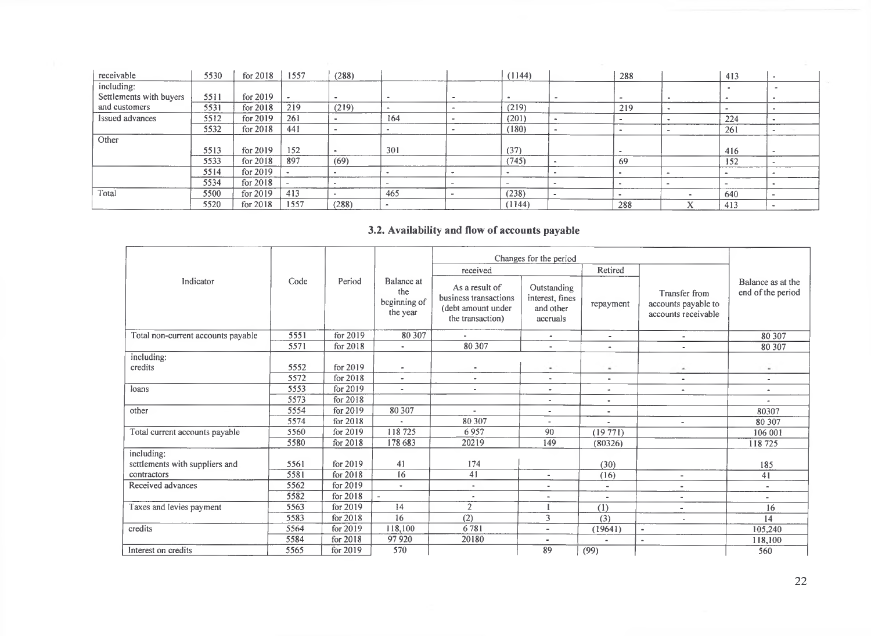| receivable              | 5530 | for 2018   | 1557 | (288) |        | (1144) |        | 288                      | 413            | $\blacksquare$               |
|-------------------------|------|------------|------|-------|--------|--------|--------|--------------------------|----------------|------------------------------|
| including:              |      |            |      |       |        |        |        |                          | $\blacksquare$ |                              |
| Settlements with buyers | 5511 | for $2019$ |      |       |        |        |        |                          | <b>ALC</b>     |                              |
| and customers           | 5531 | for 2018   | 219  | (219) | $\sim$ | (219)  |        | 219                      |                |                              |
| Issued advances         | 5512 | for $2019$ | 261  |       | 164    | (201)  |        | $\overline{\phantom{a}}$ | 224            | $\blacksquare$               |
|                         | 5532 | for $2018$ | 441  |       | $\sim$ | (180)  |        |                          | 261            | $\equiv$                     |
| Other                   |      |            |      |       |        |        |        |                          |                |                              |
|                         | 5513 | for $2019$ | 152  |       | 301    | (37)   |        | $\rightarrow$            | 416            | $\qquad \qquad \blacksquare$ |
|                         | 5533 | for $2018$ | 897  | (69)  |        | (745)  |        | 69                       | 152            |                              |
|                         | 5514 | for 2019   |      |       |        |        |        | $\blacksquare$           |                |                              |
|                         | 5534 | for 2018   |      |       | -      |        |        |                          |                |                              |
| Total                   | 5500 | for $2019$ | 413  |       | 465    | (238)  | $\sim$ |                          | 640            |                              |
|                         | 5520 | for $2018$ | 1557 | (288) |        | (1144) |        | 288                      | 413            |                              |

# **3.2. Availability and flow of accounts payable**

|                                    |      |          |                                               |                                                                                   | Changes for the period                                  |                          |                                                             |                                        |
|------------------------------------|------|----------|-----------------------------------------------|-----------------------------------------------------------------------------------|---------------------------------------------------------|--------------------------|-------------------------------------------------------------|----------------------------------------|
|                                    |      |          |                                               | received                                                                          |                                                         | Retired                  |                                                             |                                        |
| Indicator                          | Code | Period   | Balance at<br>the<br>beginning of<br>the year | As a result of<br>business transactions<br>(debt amount under<br>the transaction) | Outstanding<br>interest, fines<br>and other<br>accruals | repayment                | Transfer from<br>accounts payable to<br>accounts receivable | Balance as at the<br>end of the period |
| Total non-current accounts payable | 5551 | for 2019 | 80 30 7                                       |                                                                                   | $\bullet$                                               | $\overline{\phantom{a}}$ | ٠                                                           | 80 30 7                                |
|                                    | 5571 | for 2018 | $\blacksquare$                                | 80 30 7                                                                           | $\blacksquare$                                          | $\overline{a}$           | $\ddot{\phantom{1}}$                                        | 80 30 7                                |
| including:                         |      |          |                                               |                                                                                   |                                                         |                          |                                                             |                                        |
| credits                            | 5552 | for 2019 | ٠                                             | $\tilde{\phantom{a}}$                                                             | $\blacksquare$                                          | $\sim$                   | $\sim$                                                      | $\sim$                                 |
|                                    | 5572 | for 2018 | $\blacksquare$                                | $\bullet$                                                                         | $\sim$                                                  |                          | $\blacksquare$                                              | $\blacksquare$                         |
| loans                              | 5553 | for 2019 | $\overline{\phantom{a}}$                      | $\overline{\phantom{a}}$                                                          | $\overline{\phantom{a}}$                                | $\sim$                   |                                                             | $\bullet$                              |
|                                    | 5573 | for 2018 |                                               |                                                                                   | $\overline{\phantom{a}}$                                | ٠                        |                                                             |                                        |
| other                              | 5554 | for 2019 | 80 30 7                                       | $\sim$                                                                            | $\overline{\phantom{a}}$                                | ٠                        |                                                             | 80307                                  |
|                                    | 5574 | for 2018 | $\overline{\phantom{a}}$                      | 80 30 7                                                                           | $\sim$                                                  | $\bullet$                | $\overline{\phantom{a}}$                                    | 80 307                                 |
| Total current accounts payable     | 5560 | for 2019 | 118725                                        | 6957                                                                              | 90                                                      | $(19\ 771)$              |                                                             | 106 001                                |
|                                    | 5580 | for 2018 | 178 683                                       | 20219                                                                             | 149                                                     | (80326)                  |                                                             | 118725                                 |
| including:                         |      |          |                                               |                                                                                   |                                                         |                          |                                                             |                                        |
| settlements with suppliers and     | 5561 | for 2019 | 41                                            | 174                                                                               |                                                         | (30)                     |                                                             | 185                                    |
| contractors                        | 5581 | for 2018 | 16                                            | 41                                                                                | $\overline{\phantom{a}}$                                | (16)                     | $\overline{\phantom{0}}$                                    | 41                                     |
| Received advances                  | 5562 | for 2019 | $\sim$                                        | $\sim$                                                                            | ٠                                                       | $\sim$                   | ٠                                                           | $\blacksquare$                         |
|                                    | 5582 | for 2018 |                                               | $\blacksquare$                                                                    | $\sim$                                                  | $\blacksquare$           | $\blacksquare$                                              | $\sim$                                 |
| Taxes and levies payment           | 5563 | for 2019 | 14                                            | $\overline{2}$                                                                    |                                                         | (1)                      | $\qquad \qquad \blacksquare$                                | 16                                     |
|                                    | 5583 | for 2018 | 16                                            | (2)                                                                               | 3                                                       | (3)                      | $\blacksquare$                                              | 14                                     |
| credits                            | 5564 | for 2019 | 118,100                                       | 6781                                                                              | $\sim$                                                  | (19641)                  | $\blacksquare$                                              | 105,240                                |
|                                    | 5584 | for 2018 | 97 9 20                                       | 20180                                                                             |                                                         |                          | $\sim$                                                      | 118,100                                |
| Interest on credits                | 5565 | for 2019 | 570                                           |                                                                                   | 89                                                      | (99)                     |                                                             | 560                                    |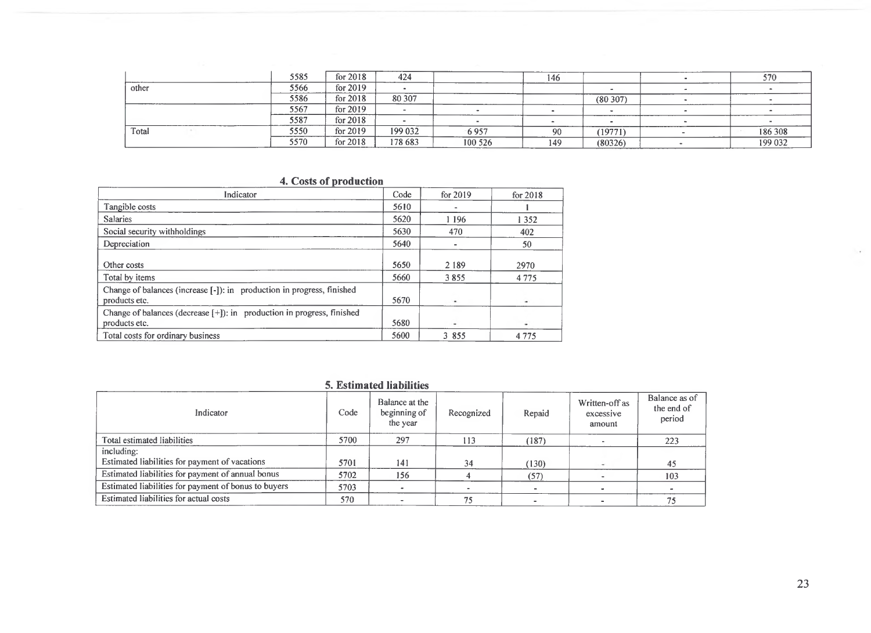|          | 5585 | for 2018   | 424     |         | 146 |         |        | 570     |
|----------|------|------------|---------|---------|-----|---------|--------|---------|
| other    | 5566 | for 2019   |         |         |     |         |        |         |
| ________ | 5586 | for $2018$ | 80 30 7 |         |     | (80307) |        |         |
|          | 5567 | for 2019   |         |         |     |         | ______ |         |
|          | 5587 | for 2018   |         |         |     |         |        |         |
| Total    | 5550 | for $2019$ | 199 032 | 6957    | 90  | (19771) |        | 186 308 |
|          | 5570 | for 2018   | 178 683 | 100 526 | 149 | (80326) |        | 199 032 |

## **4. Costs of production**

| Indicator                                                                               | Code | for 2019 | for 2018 |
|-----------------------------------------------------------------------------------------|------|----------|----------|
| Tangible costs                                                                          | 5610 |          |          |
| <b>Salaries</b>                                                                         | 5620 | 1 1 9 6  | 1352     |
| Social security withholdings                                                            | 5630 | 470      | 402      |
| Depreciation                                                                            | 5640 |          | 50       |
| Other costs                                                                             | 5650 | 2 1 8 9  | 2970     |
| Total by items                                                                          | 5660 | 3855     | 4775     |
| Change of balances (increase [-]): in production in progress, finished<br>products etc. | 5670 |          |          |
| Change of balances (decrease [+]): in production in progress, finished<br>products etc. | 5680 | ۰        | ۰        |
| Total costs for ordinary business                                                       | 5600 | 3 855    | 4 7 7 5  |

#### **5. Estimated liabilities**

| Indicator                                            | Code | Balance at the<br>beginning of<br>the year | Recognized | Repaid | Written-off as<br>excessive<br>amount | Balance as of<br>the end of<br>period |
|------------------------------------------------------|------|--------------------------------------------|------------|--------|---------------------------------------|---------------------------------------|
| Total estimated liabilities                          | 5700 | 297                                        | 113        | (187)  |                                       | 223                                   |
| including:                                           |      |                                            |            |        |                                       |                                       |
| Estimated liabilities for payment of vacations       | 5701 | 141                                        | 34         | (130)  |                                       | 45                                    |
| Estimated liabilities for payment of annual bonus    | 5702 | 156                                        |            | (57)   |                                       | 103                                   |
| Estimated liabilities for payment of bonus to buyers | 5703 |                                            |            |        |                                       |                                       |
| Estimated liabilities for actual costs               | 570  |                                            | 75         |        |                                       |                                       |

 $\cdot$